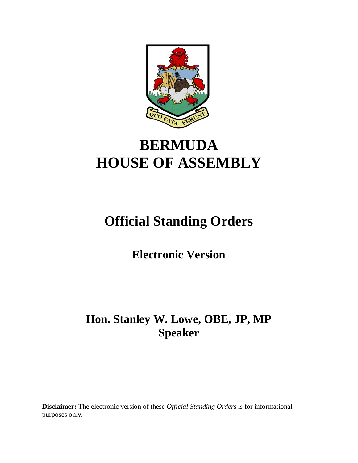

# **BERMUDA HOUSE OF ASSEMBLY**

# **Official Standing Orders**

**Electronic Version** 

# **Hon. Stanley W. Lowe, OBE, JP, MP Speaker**

**Disclaimer:** The electronic version of these *Official Standing Orders* is for informational purposes only.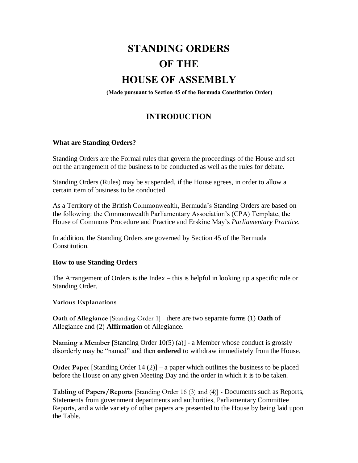# **STANDING ORDERS OF THE**

# **HOUSE OF ASSEMBLY**

**(Made pursuant to Section 45 of the Bermuda Constitution Order)**

# **INTRODUCTION**

# **What are Standing Orders?**

Standing Orders are the Formal rules that govern the proceedings of the House and set out the arrangement of the business to be conducted as well as the rules for debate.

Standing Orders (Rules) may be suspended, if the House agrees, in order to allow a certain item of business to be conducted.

As a Territory of the British Commonwealth, Bermuda's Standing Orders are based on the following: the Commonwealth Parliamentary Association's (CPA) Template, the House of Commons Procedure and Practice and Erskine May's *Parliamentary Practice.*

In addition, the Standing Orders are governed by Section 45 of the Bermuda **Constitution** 

#### **How to use Standing Orders**

The Arrangement of Orders is the Index – this is helpful in looking up a specific rule or Standing Order.

#### **Various Explanations**

**Oath of Allegiance** [Standing Order 1] - there are two separate forms (1) **Oath** of Allegiance and (2) **Affirmation** of Allegiance.

**Naming a Member [**Standing Order 10(5) (a)] - a Member whose conduct is grossly disorderly may be "named" and then **ordered** to withdraw immediately from the House.

**Order Paper** [Standing Order 14 (2)] – a paper which outlines the business to be placed before the House on any given Meeting Day and the order in which it is to be taken.

**Tabling of Papers/Reports** [Standing Order 16 (3) and (4)] - Documents such as Reports, Statements from government departments and authorities, Parliamentary Committee Reports, and a wide variety of other papers are presented to the House by being laid upon the Table.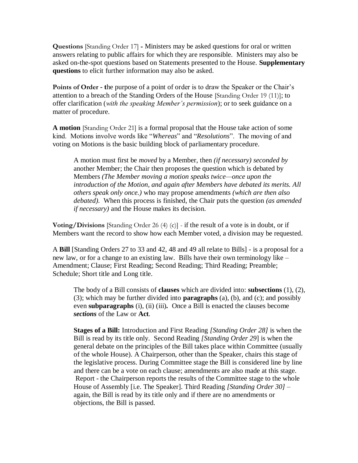**Questions** [Standing Order 17] **-** Ministers may be asked questions for oral or written answers relating to public affairs for which they are responsible. Ministers may also be asked on-the-spot questions based on Statements presented to the House. **Supplementary questions** to elicit further information may also be asked.

**Points of Order - t**he purpose of a point of order is to draw the Speaker or the Chair's attention to a breach of the Standing Orders of the House [Standing Order 19 (11)]; to offer clarification (*with the speaking Member's permission*); or to seek guidance on a matter of procedure.

**A motion** [Standing Order 21] is a formal proposal that the House take action of some kind. Motions involve words like "*Whereas*" and "*Resolutions*". The moving of and voting on Motions is the basic building block of parliamentary procedure.

A motion must first be *moved* by a Member, then *(if necessary) seconded by*  another Member; the Chair then proposes the question which is debated by Members *(The Member moving a motion speaks twice—once upon the introduction of the Motion, and again after Members have debated its merits. All others speak only once.)* who may propose amendments *(which are then also debated).* When this process is finished, the Chair puts the question *(as amended if necessary)* and the House makes its decision.

**Voting/Divisions** [Standing Order 26 (4) (c)] - if the result of a vote is in doubt, or if Members want the record to show how each Member voted, a division may be requested.

A **Bill** [Standing Orders 27 to 33 and 42, 48 and 49 all relate to Bills] - is a proposal for a new law, or for a change to an existing law. Bills have their own terminology like – Amendment; Clause; First Reading; Second Reading; Third Reading; Preamble; Schedule; Short title and Long title.

The body of a Bill consists of **clauses** which are divided into: **subsections** (1), (2), (3); which may be further divided into **paragraphs** (a), (b), and (c); and possibly even **subparagraphs** (i), (ii) (iii). Once a Bill is enacted the clauses become *sections* of the Law or **Act***.*

**Stages of a Bill:** Introduction and First Reading *[Standing Order 28]* is when the Bill is read by its title only.Second Reading *[Standing Order 29*] is when the general debate on the principles of the Bill takes place within Committee (usually of the whole House). A Chairperson, other than the Speaker, chairs this stage of the legislative process. During Committee stage the Bill is considered line by line and there can be a vote on each clause; amendments are also made at this stage. Report - the Chairperson reports the results of the Committee stage to the whole House of Assembly [i.e. The Speaker]. Third Reading *[Standing Order 30]* – again, the Bill is read by its title only and if there are no amendments or objections, the Bill is passed*.*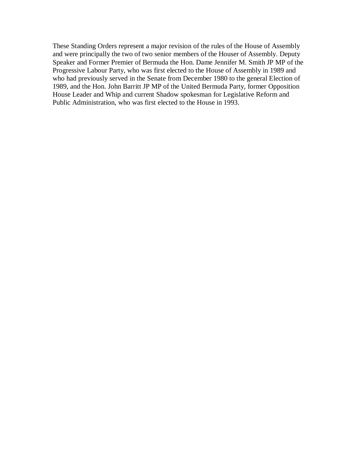These Standing Orders represent a major revision of the rules of the House of Assembly and were principally the two of two senior members of the Houser of Assembly. Deputy Speaker and Former Premier of Bermuda the Hon. Dame Jennifer M. Smith JP MP of the Progressive Labour Party, who was first elected to the House of Assembly in 1989 and who had previously served in the Senate from December 1980 to the general Election of 1989, and the Hon. John Barritt JP MP of the United Bermuda Party, former Opposition House Leader and Whip and current Shadow spokesman for Legislative Reform and Public Administration, who was first elected to the House in 1993.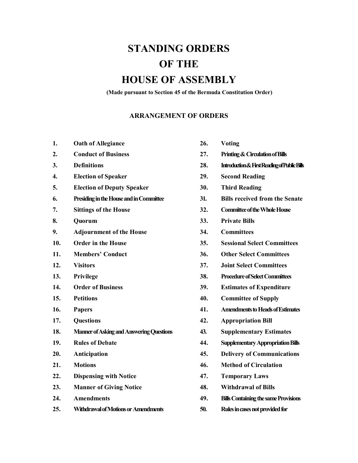# **STANDING ORDERS OF THE**

# **HOUSE OF ASSEMBLY**

**(Made pursuant to Section 45 of the Bermuda Constitution Order)**

#### **ARRANGEMENT OF ORDERS**

| <b>Oath of Allegiance</b> | 26. | <b>Voting</b> |
|---------------------------|-----|---------------|
|                           |     |               |

- 
- 
- **4. Election of Speaker 29. Second Reading**
- **5. Election of Deputy Speaker 30. Third Reading**
- **6. Presiding in the House and in Committee 31. Bills received from the Senate**
- 
- 
- **9. Adjournment of the House 34. Committees**
- 
- 
- 
- 
- 
- 
- 
- 
- **18. Manner of Asking and Answering Questions 43. Supplementary Estimates**
- 
- 
- 
- **22. Dispensing with Notice 47. Temporary Laws**
- **23. Manner of Giving Notice 48. Withdrawal of Bills**
- 
- **25. Withdrawal of Motions or Amendments 50. Rules in cases not provided for**
- 
- **2. Conduct of Business 27. Printing & Circulation of Bills**
- **3. Definitions 28. Introduction & First Reading of Public Bills**
	-
	-
	-
- **7. Sittings of the House 32. Committee of the Whole House**
- **8. Quorum 33. Private Bills**
	-
- **10. Order in the House 35. Sessional Select Committees**
- **11. Members' Conduct 36. Other Select Committees**
- **12. Visitors 37. Joint Select Committees**
- **13. Privilege 38. Procedure of Select Committees**
- **14. Order of Business 39. Estimates of Expenditure**
- **15. Petitions 40. Committee of Supply**
- **16. Papers 41. Amendments to Heads of Estimates**
- **17. Questions 42. Appropriation Bill**
	-
- **19. Rules of Debate 44. Supplementary Appropriation Bills**
- **20. Anticipation 45. Delivery of Communications**
- **21. Motions 46. Method of Circulation**
	-
	-
- **24. Amendments 49. Bills Containingthe same Provisions**
	-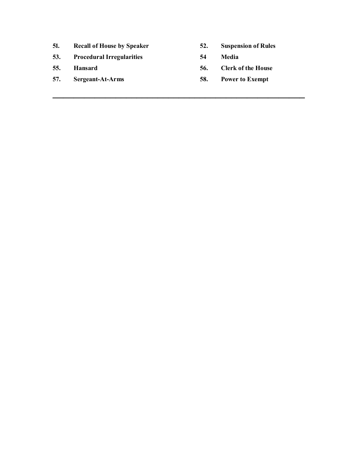- **51. Recall of House by Speaker 52. Suspension of Rules**
- **53. Procedural Irregularities 54 Media**
- 
- **57. Sergeant-At-Arms 58. Power to Exempt**
- 
- 

**\_\_\_\_\_\_\_\_\_\_\_\_\_\_\_\_\_\_\_\_\_\_\_\_\_\_\_\_\_\_\_\_\_\_\_\_\_\_\_\_\_\_\_\_\_\_\_\_**

- **55. Hansard 56. Clerk of the House**
	-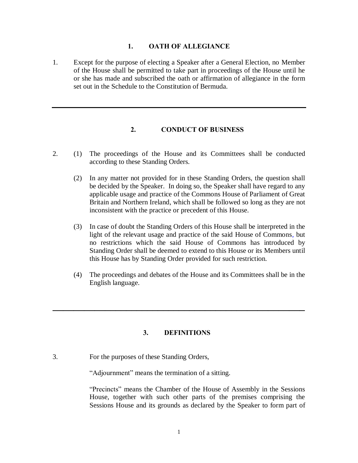#### **1. OATH OF ALLEGIANCE**

1. Except for the purpose of electing a Speaker after a General Election, no Member of the House shall be permitted to take part in proceedings of the House until he or she has made and subscribed the oath or affirmation of allegiance in the form set out in the Schedule to the Constitution of Bermuda.

# **2. CONDUCT OF BUSINESS**

- 2. (1) The proceedings of the House and its Committees shall be conducted according to these Standing Orders.
	- (2) In any matter not provided for in these Standing Orders, the question shall be decided by the Speaker. In doing so, the Speaker shall have regard to any applicable usage and practice of the Commons House of Parliament of Great Britain and Northern Ireland, which shall be followed so long as they are not inconsistent with the practice or precedent of this House.
	- (3) In case of doubt the Standing Orders of this House shall be interpreted in the light of the relevant usage and practice of the said House of Commons, but no restrictions which the said House of Commons has introduced by Standing Order shall be deemed to extend to this House or its Members until this House has by Standing Order provided for such restriction.
	- (4) The proceedings and debates of the House and its Committees shall be in the English language.

# **3. DEFINITIONS**

**\_\_\_\_\_\_\_\_\_\_\_\_\_\_\_\_\_\_\_\_\_\_\_\_\_\_\_\_\_\_\_\_\_\_\_\_\_\_\_\_\_\_\_\_\_\_\_\_**

3. For the purposes of these Standing Orders,

"Adjournment" means the termination of a sitting.

"Precincts" means the Chamber of the House of Assembly in the Sessions House, together with such other parts of the premises comprising the Sessions House and its grounds as declared by the Speaker to form part of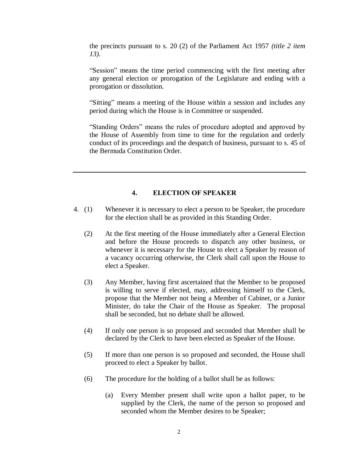the precincts pursuant to s. 20 (2) of the Parliament Act 1957 *(title 2 item 13).*

"Session" means the time period commencing with the first meeting after any general election or prorogation of the Legislature and ending with a prorogation or dissolution.

"Sitting" means a meeting of the House within a session and includes any period during which the House is in Committee or suspended.

"Standing Orders" means the rules of procedure adopted and approved by the House of Assembly from time to time for the regulation and orderly conduct of its proceedings and the despatch of business, pursuant to s. 45 of the Bermuda Constitution Order.

# **4. ELECTION OF SPEAKER**

- 4. (1) Whenever it is necessary to elect a person to be Speaker, the procedure for the election shall be as provided in this Standing Order.
	- (2) At the first meeting of the House immediately after a General Election and before the House proceeds to dispatch any other business, or whenever it is necessary for the House to elect a Speaker by reason of a vacancy occurring otherwise, the Clerk shall call upon the House to elect a Speaker.
	- (3) Any Member, having first ascertained that the Member to be proposed is willing to serve if elected, may, addressing himself to the Clerk, propose that the Member not being a Member of Cabinet, or a Junior Minister, do take the Chair of the House as Speaker. The proposal shall be seconded, but no debate shall be allowed.
	- (4) If only one person is so proposed and seconded that Member shall be declared by the Clerk to have been elected as Speaker of the House.
	- (5) If more than one person is so proposed and seconded, the House shall proceed to elect a Speaker by ballot.
	- (6) The procedure for the holding of a ballot shall be as follows:
		- (a) Every Member present shall write upon a ballot paper, to be supplied by the Clerk, the name of the person so proposed and seconded whom the Member desires to be Speaker;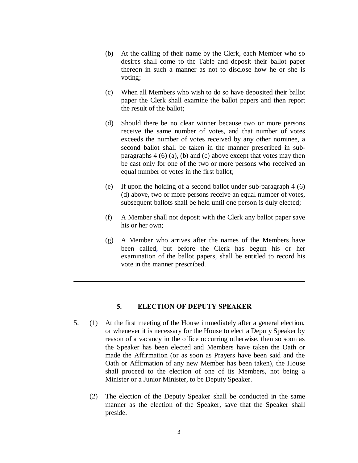- (b) At the calling of their name by the Clerk, each Member who so desires shall come to the Table and deposit their ballot paper thereon in such a manner as not to disclose how he or she is voting;
- (c) When all Members who wish to do so have deposited their ballot paper the Clerk shall examine the ballot papers and then report the result of the ballot;
- (d) Should there be no clear winner because two or more persons receive the same number of votes, and that number of votes exceeds the number of votes received by any other nominee, a second ballot shall be taken in the manner prescribed in subparagraphs  $4(6)(a)$ , (b) and (c) above except that votes may then be cast only for one of the two or more persons who received an equal number of votes in the first ballot;
- (e) If upon the holding of a second ballot under sub-paragraph 4 (6) (d) above, two or more persons receive an equal number of votes, subsequent ballots shall be held until one person is duly elected;
- (f) A Member shall not deposit with the Clerk any ballot paper save his or her own;
- (g) A Member who arrives after the names of the Members have been called, but before the Clerk has begun his or her examination of the ballot papers, shall be entitled to record his vote in the manner prescribed.

# **5. ELECTION OF DEPUTY SPEAKER**

**\_\_\_\_\_\_\_\_\_\_\_\_\_\_\_\_\_\_\_\_\_\_\_\_\_\_\_\_\_\_\_\_\_\_\_\_\_\_\_\_\_\_\_\_**

- 5. (1) At the first meeting of the House immediately after a general election, or whenever it is necessary for the House to elect a Deputy Speaker by reason of a vacancy in the office occurring otherwise, then so soon as the Speaker has been elected and Members have taken the Oath or made the Affirmation (or as soon as Prayers have been said and the Oath or Affirmation of any new Member has been taken), the House shall proceed to the election of one of its Members, not being a Minister or a Junior Minister, to be Deputy Speaker.
	- (2) The election of the Deputy Speaker shall be conducted in the same manner as the election of the Speaker, save that the Speaker shall preside.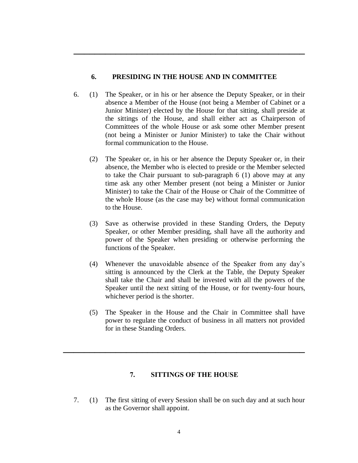# **6. PRESIDING IN THE HOUSE AND IN COMMITTEE**

**\_\_\_\_\_\_\_\_\_\_\_\_\_\_\_\_\_\_\_\_\_\_\_\_\_\_\_\_\_\_\_\_\_\_\_\_\_\_\_\_\_\_\_\_**

- 6. (1) The Speaker, or in his or her absence the Deputy Speaker, or in their absence a Member of the House (not being a Member of Cabinet or a Junior Minister) elected by the House for that sitting, shall preside at the sittings of the House, and shall either act as Chairperson of Committees of the whole House or ask some other Member present (not being a Minister or Junior Minister) to take the Chair without formal communication to the House.
	- (2) The Speaker or, in his or her absence the Deputy Speaker or, in their absence, the Member who is elected to preside or the Member selected to take the Chair pursuant to sub-paragraph 6 (1) above may at any time ask any other Member present (not being a Minister or Junior Minister) to take the Chair of the House or Chair of the Committee of the whole House (as the case may be) without formal communication to the House.
	- (3) Save as otherwise provided in these Standing Orders, the Deputy Speaker, or other Member presiding, shall have all the authority and power of the Speaker when presiding or otherwise performing the functions of the Speaker.
	- (4) Whenever the unavoidable absence of the Speaker from any day's sitting is announced by the Clerk at the Table, the Deputy Speaker shall take the Chair and shall be invested with all the powers of the Speaker until the next sitting of the House, or for twenty-four hours, whichever period is the shorter.
	- (5) The Speaker in the House and the Chair in Committee shall have power to regulate the conduct of business in all matters not provided for in these Standing Orders.

# **7. SITTINGS OF THE HOUSE**

**\_\_\_\_\_\_\_\_\_\_\_\_\_\_\_\_\_\_\_\_\_\_\_\_\_\_\_\_\_\_\_\_\_\_\_\_\_\_\_\_\_\_\_\_\_\_**

7. (1) The first sitting of every Session shall be on such day and at such hour as the Governor shall appoint.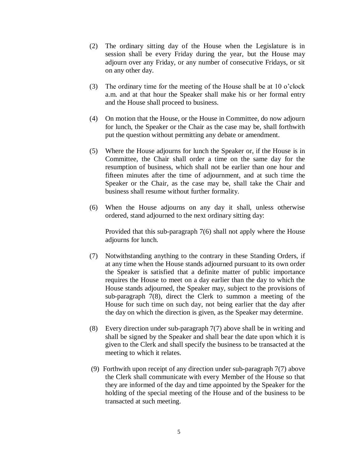- (2) The ordinary sitting day of the House when the Legislature is in session shall be every Friday during the year, but the House may adjourn over any Friday, or any number of consecutive Fridays, or sit on any other day.
- (3) The ordinary time for the meeting of the House shall be at 10 o'clock a.m. and at that hour the Speaker shall make his or her formal entry and the House shall proceed to business.
- (4) On motion that the House, or the House in Committee, do now adjourn for lunch, the Speaker or the Chair as the case may be, shall forthwith put the question without permitting any debate or amendment.
- (5) Where the House adjourns for lunch the Speaker or, if the House is in Committee, the Chair shall order a time on the same day for the resumption of business, which shall not be earlier than one hour and fifteen minutes after the time of adjournment, and at such time the Speaker or the Chair, as the case may be, shall take the Chair and business shall resume without further formality.
- (6) When the House adjourns on any day it shall, unless otherwise ordered, stand adjourned to the next ordinary sitting day:

Provided that this sub-paragraph 7(6) shall not apply where the House adjourns for lunch.

- (7) Notwithstanding anything to the contrary in these Standing Orders, if at any time when the House stands adjourned pursuant to its own order the Speaker is satisfied that a definite matter of public importance requires the House to meet on a day earlier than the day to which the House stands adjourned, the Speaker may, subject to the provisions of sub-paragraph 7(8), direct the Clerk to summon a meeting of the House for such time on such day, not being earlier that the day after the day on which the direction is given, as the Speaker may determine.
- (8) Every direction under sub-paragraph 7(7) above shall be in writing and shall be signed by the Speaker and shall bear the date upon which it is given to the Clerk and shall specify the business to be transacted at the meeting to which it relates.
- (9) Forthwith upon receipt of any direction under sub-paragraph 7(7) above the Clerk shall communicate with every Member of the House so that they are informed of the day and time appointed by the Speaker for the holding of the special meeting of the House and of the business to be transacted at such meeting.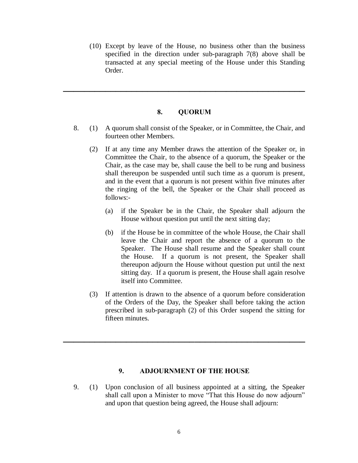(10) Except by leave of the House, no business other than the business specified in the direction under sub-paragraph 7(8) above shall be transacted at any special meeting of the House under this Standing Order.

#### **8. QUORUM**

**\_\_\_\_\_\_\_\_\_\_\_\_\_\_\_\_\_\_\_\_\_\_\_\_\_\_\_\_\_\_\_\_\_\_\_\_\_\_\_\_\_\_\_\_\_\_**

- 8. (1) A quorum shall consist of the Speaker, or in Committee, the Chair, and fourteen other Members.
	- (2) If at any time any Member draws the attention of the Speaker or, in Committee the Chair, to the absence of a quorum, the Speaker or the Chair, as the case may be, shall cause the bell to be rung and business shall thereupon be suspended until such time as a quorum is present, and in the event that a quorum is not present within five minutes after the ringing of the bell, the Speaker or the Chair shall proceed as follows:-
		- (a) if the Speaker be in the Chair, the Speaker shall adjourn the House without question put until the next sitting day;
		- (b) if the House be in committee of the whole House, the Chair shall leave the Chair and report the absence of a quorum to the Speaker. The House shall resume and the Speaker shall count the House. If a quorum is not present, the Speaker shall thereupon adjourn the House without question put until the next sitting day. If a quorum is present, the House shall again resolve itself into Committee.
	- (3) If attention is drawn to the absence of a quorum before consideration of the Orders of the Day, the Speaker shall before taking the action prescribed in sub-paragraph (2) of this Order suspend the sitting for fifteen minutes.

# **9. ADJOURNMENT OF THE HOUSE**

**\_\_\_\_\_\_\_\_\_\_\_\_\_\_\_\_\_\_\_\_\_\_\_\_\_\_\_\_\_\_\_\_\_\_\_\_\_\_\_\_\_\_\_\_\_\_**

9. (1) Upon conclusion of all business appointed at a sitting, the Speaker shall call upon a Minister to move "That this House do now adjourn" and upon that question being agreed, the House shall adjourn: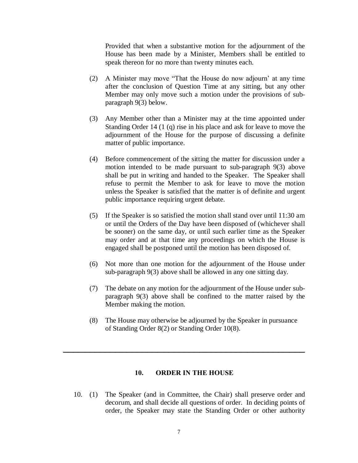Provided that when a substantive motion for the adjournment of the House has been made by a Minister, Members shall be entitled to speak thereon for no more than twenty minutes each.

- (2) A Minister may move "That the House do now adjourn' at any time after the conclusion of Question Time at any sitting, but any other Member may only move such a motion under the provisions of subparagraph 9(3) below.
- (3) Any Member other than a Minister may at the time appointed under Standing Order 14 (1 (q) rise in his place and ask for leave to move the adjournment of the House for the purpose of discussing a definite matter of public importance.
- (4) Before commencement of the sitting the matter for discussion under a motion intended to be made pursuant to sub-paragraph 9(3) above shall be put in writing and handed to the Speaker. The Speaker shall refuse to permit the Member to ask for leave to move the motion unless the Speaker is satisfied that the matter is of definite and urgent public importance requiring urgent debate.
- (5) If the Speaker is so satisfied the motion shall stand over until 11:30 am or until the Orders of the Day have been disposed of (whichever shall be sooner) on the same day, or until such earlier time as the Speaker may order and at that time any proceedings on which the House is engaged shall be postponed until the motion has been disposed of.
- (6) Not more than one motion for the adjournment of the House under sub-paragraph 9(3) above shall be allowed in any one sitting day.
- (7) The debate on any motion for the adjournment of the House under subparagraph 9(3) above shall be confined to the matter raised by the Member making the motion.
- (8) The House may otherwise be adjourned by the Speaker in pursuance of Standing Order 8(2) or Standing Order 10(8).

# **10. ORDER IN THE HOUSE**

**\_\_\_\_\_\_\_\_\_\_\_\_\_\_\_\_\_\_\_\_\_\_\_\_\_\_\_\_\_\_\_\_\_\_\_\_\_\_\_\_\_\_\_\_\_\_**

10. (1) The Speaker (and in Committee, the Chair) shall preserve order and decorum, and shall decide all questions of order. In deciding points of order, the Speaker may state the Standing Order or other authority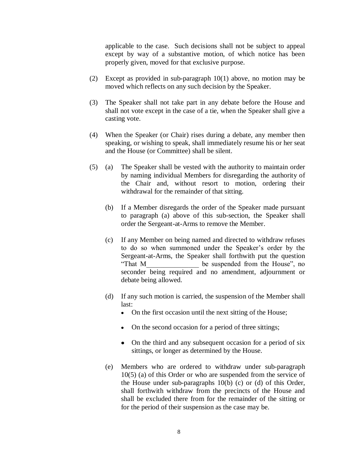applicable to the case. Such decisions shall not be subject to appeal except by way of a substantive motion, of which notice has been properly given, moved for that exclusive purpose.

- (2) Except as provided in sub-paragraph 10(1) above, no motion may be moved which reflects on any such decision by the Speaker.
- (3) The Speaker shall not take part in any debate before the House and shall not vote except in the case of a tie, when the Speaker shall give a casting vote.
- (4) When the Speaker (or Chair) rises during a debate, any member then speaking, or wishing to speak, shall immediately resume his or her seat and the House (or Committee) shall be silent.
- (5) (a) The Speaker shall be vested with the authority to maintain order by naming individual Members for disregarding the authority of the Chair and, without resort to motion, ordering their withdrawal for the remainder of that sitting.
	- (b) If a Member disregards the order of the Speaker made pursuant to paragraph (a) above of this sub-section, the Speaker shall order the Sergeant-at-Arms to remove the Member.
	- (c) If any Member on being named and directed to withdraw refuses to do so when summoned under the Speaker's order by the Sergeant-at-Arms, the Speaker shall forthwith put the question "That M\_\_\_\_\_\_\_\_\_\_\_\_\_\_\_ be suspended from the House", no seconder being required and no amendment, adjournment or debate being allowed.
	- (d) If any such motion is carried, the suspension of the Member shall last:
		- On the first occasion until the next sitting of the House;
		- On the second occasion for a period of three sittings;
		- On the third and any subsequent occasion for a period of six sittings, or longer as determined by the House.
	- (e) Members who are ordered to withdraw under sub-paragraph 10(5) (a) of this Order or who are suspended from the service of the House under sub-paragraphs 10(b) (c) or (d) of this Order, shall forthwith withdraw from the precincts of the House and shall be excluded there from for the remainder of the sitting or for the period of their suspension as the case may be.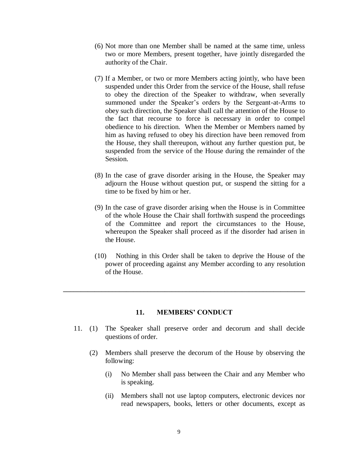- (6) Not more than one Member shall be named at the same time, unless two or more Members, present together, have jointly disregarded the authority of the Chair.
- (7) If a Member, or two or more Members acting jointly, who have been suspended under this Order from the service of the House, shall refuse to obey the direction of the Speaker to withdraw, when severally summoned under the Speaker's orders by the Sergeant-at-Arms to obey such direction, the Speaker shall call the attention of the House to the fact that recourse to force is necessary in order to compel obedience to his direction. When the Member or Members named by him as having refused to obey his direction have been removed from the House, they shall thereupon, without any further question put, be suspended from the service of the House during the remainder of the Session.
- (8) In the case of grave disorder arising in the House, the Speaker may adjourn the House without question put, or suspend the sitting for a time to be fixed by him or her.
- (9) In the case of grave disorder arising when the House is in Committee of the whole House the Chair shall forthwith suspend the proceedings of the Committee and report the circumstances to the House, whereupon the Speaker shall proceed as if the disorder had arisen in the House.
- (10) Nothing in this Order shall be taken to deprive the House of the power of proceeding against any Member according to any resolution of the House.

# **11. MEMBERS' CONDUCT**

 $\mathcal{L} = \{ \mathcal{L} \mid \mathcal{L} \in \mathcal{L} \}$ 

- 11. (1) The Speaker shall preserve order and decorum and shall decide questions of order.
	- (2) Members shall preserve the decorum of the House by observing the following:
		- (i) No Member shall pass between the Chair and any Member who is speaking.
		- (ii) Members shall not use laptop computers, electronic devices nor read newspapers, books, letters or other documents, except as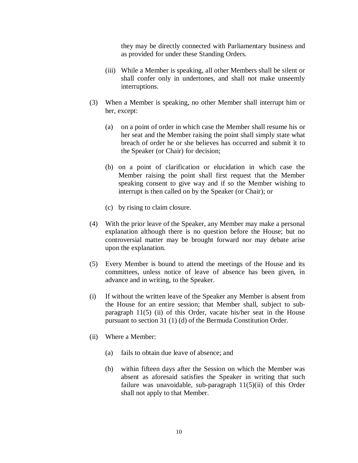they may be directly connected with Parliamentary business and as provided for under these Standing Orders.

- (iii) While a Member is speaking, all other Members shall be silent or shall confer only in undertones, and shall not make unseemly interruptions.
- (3) When a Member is speaking, no other Member shall interrupt him or her, except:
	- (a) on a point of order in which case the Member shall resume his or her seat and the Member raising the point shall simply state what breach of order he or she believes has occurred and submit it to the Speaker (or Chair) for decision;
	- (b) on a point of clarification or elucidation in which case the Member raising the point shall first request that the Member speaking consent to give way and if so the Member wishing to interrupt is then called on by the Speaker (or Chair); or
	- (c) by rising to claim closure.
- (4) With the prior leave of the Speaker, any Member may make a personal explanation although there is no question before the House; but no controversial matter may be brought forward nor may debate arise upon the explanation.
- (5) Every Member is bound to attend the meetings of the House and its committees, unless notice of leave of absence has been given, in advance and in writing, to the Speaker.
- (i) If without the written leave of the Speaker any Member is absent from the House for an entire session; that Member shall, subject to subparagraph 11(5) (ii) of this Order, vacate his/her seat in the House pursuant to section 31 (1) (d) of the Bermuda Constitution Order.
- (ii) Where a Member:
	- (a) fails to obtain due leave of absence; and
	- (b) within fifteen days after the Session on which the Member was absent as aforesaid satisfies the Speaker in writing that such failure was unavoidable, sub-paragraph 11(5)(ii) of this Order shall not apply to that Member.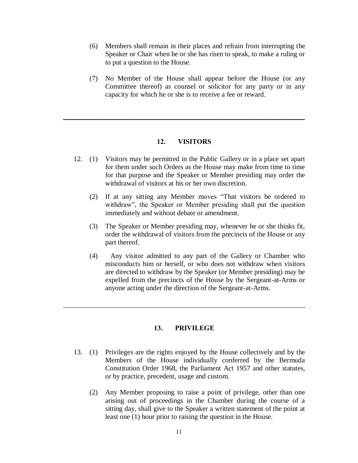- (6) Members shall remain in their places and refrain from interrupting the Speaker or Chair when he or she has risen to speak, to make a ruling or to put a question to the House.
- (7) No Member of the House shall appear before the House (or any Committee thereof) as counsel or solicitor for any party or in any capacity for which he or she is to receive a fee or reward.

# **12. VISITORS**

**\_\_\_\_\_\_\_\_\_\_\_\_\_\_\_\_\_\_\_\_\_\_\_\_\_\_\_\_\_\_\_\_\_\_\_\_\_\_\_\_\_\_\_\_\_\_**

- 12. (1) Visitors may be permitted in the Public Gallery or in a place set apart for them under such Orders as the House may make from time to time for that purpose and the Speaker or Member presiding may order the withdrawal of visitors at his or her own discretion.
	- (2) If at any sitting any Member moves "That visitors be ordered to withdraw", the Speaker or Member presiding shall put the question immediately and without debate or amendment.
	- (3) The Speaker or Member presiding may, whenever he or she thinks fit, order the withdrawal of visitors from the precincts of the House or any part thereof.
	- (4) Any visitor admitted to any part of the Gallery or Chamber who misconducts him or herself, or who does not withdraw when visitors are directed to withdraw by the Speaker (or Member presiding) may be expelled from the precincts of the House by the Sergeant-at-Arms or anyone acting under the direction of the Sergeant-at-Arms.

# **13. PRIVILEGE**

\_\_\_\_\_\_\_\_\_\_\_\_\_\_\_\_\_\_\_\_\_\_\_\_\_\_\_\_\_\_\_\_\_\_\_\_\_\_\_\_\_\_\_\_\_\_\_\_\_\_\_\_\_\_\_\_\_\_\_\_\_\_\_\_\_\_\_\_\_

- 13. (1) Privileges are the rights enjoyed by the House collectively and by the Members of the House individually conferred by the Bermuda Constitution Order 1968, the Parliament Act 1957 and other statutes, or by practice, precedent, usage and custom.
	- (2) Any Member proposing to raise a point of privilege, other than one arising out of proceedings in the Chamber during the course of a sitting day, shall give to the Speaker a written statement of the point at least one (1) hour prior to raising the question in the House.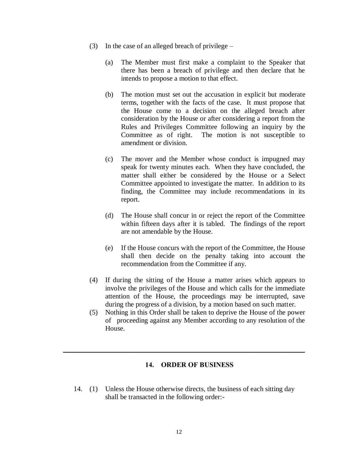- (3) In the case of an alleged breach of privilege
	- (a) The Member must first make a complaint to the Speaker that there has been a breach of privilege and then declare that he intends to propose a motion to that effect.
	- (b) The motion must set out the accusation in explicit but moderate terms, together with the facts of the case. It must propose that the House come to a decision on the alleged breach after consideration by the House or after considering a report from the Rules and Privileges Committee following an inquiry by the Committee as of right. The motion is not susceptible to amendment or division.
	- (c) The mover and the Member whose conduct is impugned may speak for twenty minutes each. When they have concluded, the matter shall either be considered by the House or a Select Committee appointed to investigate the matter. In addition to its finding, the Committee may include recommendations in its report.
	- (d) The House shall concur in or reject the report of the Committee within fifteen days after it is tabled. The findings of the report are not amendable by the House.
	- (e) If the House concurs with the report of the Committee, the House shall then decide on the penalty taking into account the recommendation from the Committee if any.
- (4) If during the sitting of the House a matter arises which appears to involve the privileges of the House and which calls for the immediate attention of the House, the proceedings may be interrupted, save during the progress of a division, by a motion based on such matter.
- (5) Nothing in this Order shall be taken to deprive the House of the power of proceeding against any Member according to any resolution of the House.

# **14. ORDER OF BUSINESS**

**\_\_\_\_\_\_\_\_\_\_\_\_\_\_\_\_\_\_\_\_\_\_\_\_\_\_\_\_\_\_\_\_\_\_\_\_\_\_\_\_\_\_\_\_\_\_**

14. (1) Unless the House otherwise directs, the business of each sitting day shall be transacted in the following order:-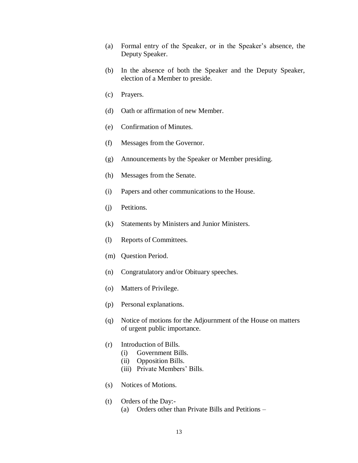- (a) Formal entry of the Speaker, or in the Speaker's absence, the Deputy Speaker.
- (b) In the absence of both the Speaker and the Deputy Speaker, election of a Member to preside.
- (c) Prayers.
- (d) Oath or affirmation of new Member.
- (e) Confirmation of Minutes.
- (f) Messages from the Governor.
- (g) Announcements by the Speaker or Member presiding.
- (h) Messages from the Senate.
- (i) Papers and other communications to the House.
- (j) Petitions.
- (k) Statements by Ministers and Junior Ministers.
- (l) Reports of Committees.
- (m) Question Period.
- (n) Congratulatory and/or Obituary speeches.
- (o) Matters of Privilege.
- (p) Personal explanations.
- (q) Notice of motions for the Adjournment of the House on matters of urgent public importance.
- (r) Introduction of Bills.
	- (i) Government Bills.
	- (ii) Opposition Bills.
	- (iii) Private Members' Bills.
- (s) Notices of Motions.
- (t) Orders of the Day:-
	- (a) Orders other than Private Bills and Petitions –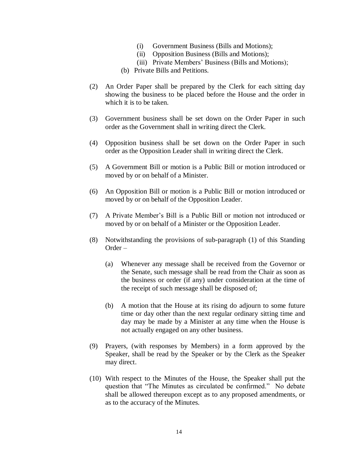- (i) Government Business (Bills and Motions);
- (ii) Opposition Business (Bills and Motions);
- (iii) Private Members' Business (Bills and Motions);
- (b) Private Bills and Petitions.
- (2) An Order Paper shall be prepared by the Clerk for each sitting day showing the business to be placed before the House and the order in which it is to be taken.
- (3) Government business shall be set down on the Order Paper in such order as the Government shall in writing direct the Clerk.
- (4) Opposition business shall be set down on the Order Paper in such order as the Opposition Leader shall in writing direct the Clerk.
- (5) A Government Bill or motion is a Public Bill or motion introduced or moved by or on behalf of a Minister.
- (6) An Opposition Bill or motion is a Public Bill or motion introduced or moved by or on behalf of the Opposition Leader.
- (7) A Private Member's Bill is a Public Bill or motion not introduced or moved by or on behalf of a Minister or the Opposition Leader.
- (8) Notwithstanding the provisions of sub-paragraph (1) of this Standing Order –
	- (a) Whenever any message shall be received from the Governor or the Senate, such message shall be read from the Chair as soon as the business or order (if any) under consideration at the time of the receipt of such message shall be disposed of;
	- (b) A motion that the House at its rising do adjourn to some future time or day other than the next regular ordinary sitting time and day may be made by a Minister at any time when the House is not actually engaged on any other business.
- (9) Prayers, (with responses by Members) in a form approved by the Speaker, shall be read by the Speaker or by the Clerk as the Speaker may direct.
- (10) With respect to the Minutes of the House, the Speaker shall put the question that "The Minutes as circulated be confirmed." No debate shall be allowed thereupon except as to any proposed amendments, or as to the accuracy of the Minutes.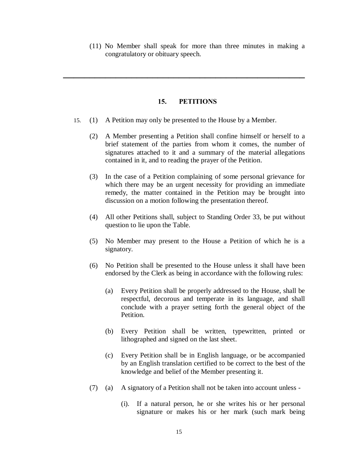(11) No Member shall speak for more than three minutes in making a congratulatory or obituary speech.

# **15. PETITIONS**

**\_\_\_\_\_\_\_\_\_\_\_\_\_\_\_\_\_\_\_\_\_\_\_\_\_\_\_\_\_\_\_\_\_\_\_\_\_\_\_\_\_\_\_\_\_\_**

- 15. (1) A Petition may only be presented to the House by a Member.
	- (2) A Member presenting a Petition shall confine himself or herself to a brief statement of the parties from whom it comes, the number of signatures attached to it and a summary of the material allegations contained in it, and to reading the prayer of the Petition.
	- (3) In the case of a Petition complaining of some personal grievance for which there may be an urgent necessity for providing an immediate remedy, the matter contained in the Petition may be brought into discussion on a motion following the presentation thereof.
	- (4) All other Petitions shall, subject to Standing Order 33, be put without question to lie upon the Table.
	- (5) No Member may present to the House a Petition of which he is a signatory.
	- (6) No Petition shall be presented to the House unless it shall have been endorsed by the Clerk as being in accordance with the following rules:
		- (a) Every Petition shall be properly addressed to the House, shall be respectful, decorous and temperate in its language, and shall conclude with a prayer setting forth the general object of the Petition.
		- (b) Every Petition shall be written, typewritten, printed or lithographed and signed on the last sheet.
		- (c) Every Petition shall be in English language, or be accompanied by an English translation certified to be correct to the best of the knowledge and belief of the Member presenting it.
	- (7) (a) A signatory of a Petition shall not be taken into account unless
		- (i). If a natural person, he or she writes his or her personal signature or makes his or her mark (such mark being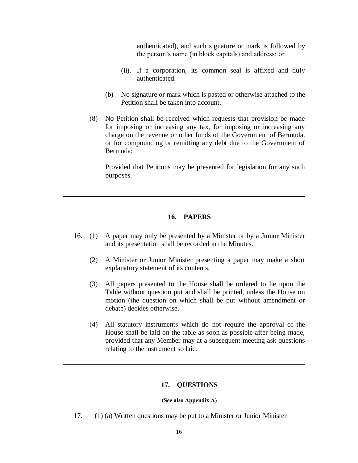authenticated), and such signature or mark is followed by the person's name (in block capitals) and address; or

- (ii). If a corporation, its common seal is affixed and duly authenticated.
- (b) No signature or mark which is pasted or otherwise attached to the Petition shall be taken into account.
- (8) No Petition shall be received which requests that provision be made for imposing or increasing any tax, for imposing or increasing any charge on the revenue or other funds of the Government of Bermuda, or for compounding or remitting any debt due to the Government of Bermuda:

Provided that Petitions may be presented for legislation for any such purposes.

# **16. PAPERS**

**\_\_\_\_\_\_\_\_\_\_\_\_\_\_\_\_\_\_\_\_\_\_\_\_\_\_\_\_\_\_\_\_\_\_\_\_\_\_\_\_\_\_\_\_\_\_**

- 16. (1) A paper may only be presented by a Minister or by a Junior Minister and its presentation shall be recorded in the Minutes.
	- (2) A Minister or Junior Minister presenting a paper may make a short explanatory statement of its contents.
	- (3) All papers presented to the House shall be ordered to lie upon the Table without question put and shall be printed, unless the House on motion (the question on which shall be put without amendment or debate) decides otherwise.
	- (4) All statutory instruments which do not require the approval of the House shall be laid on the table as soon as possible after being made, provided that any Member may at a subsequent meeting ask questions relating to the instrument so laid.

#### **17. QUESTIONS**

**\_\_\_\_\_\_\_\_\_\_\_\_\_\_\_\_\_\_\_\_\_\_\_\_\_\_\_\_\_\_\_\_\_\_\_\_\_\_\_\_\_\_\_\_\_\_**

#### **(See also Appendix A)**

17. (1) (a) Written questions may be put to a Minister or Junior Minister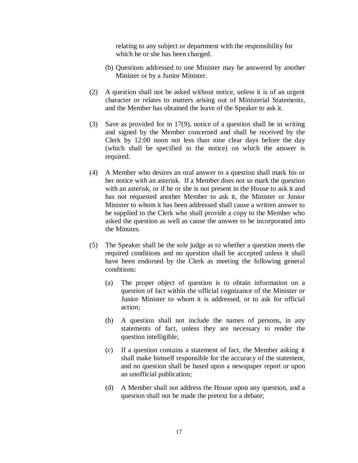relating to any subject or department with the responsibility for which he or she has been charged.

- (b) Questions addressed to one Minister may be answered by another Minister or by a Junior Minister.
- (2) A question shall not be asked without notice, unless it is of an urgent character or relates to matters arising out of Ministerial Statements, and the Member has obtained the leave of the Speaker to ask it.
- (3) Save as provided for in 17(9), notice of a question shall be in writing and signed by the Member concerned and shall be received by the Clerk by 12:00 noon not less than nine clear days before the day (which shall be specified in the notice) on which the answer is required.
- (4) A Member who desires an oral answer to a question shall mark his or her notice with an asterisk. If a Member does not so mark the question with an asterisk, or if he or she is not present in the House to ask it and has not requested another Member to ask it, the Minister or Junior Minister to whom it has been addressed shall cause a written answer to be supplied to the Clerk who shall provide a copy to the Member who asked the question as well as cause the answer to be incorporated into the Minutes.
- (5) The Speaker shall be the sole judge as to whether a question meets the required conditions and no question shall be accepted unless it shall have been endorsed by the Clerk as meeting the following general conditions:
	- (a) The proper object of question is to obtain information on a question of fact within the official cognizance of the Minister or Junior Minister to whom it is addressed, or to ask for official action;
	- (b) A question shall not include the names of persons, in any statements of fact, unless they are necessary to render the question intelligible;
	- (c) If a question contains a statement of fact, the Member asking it shall make himself responsible for the accuracy of the statement, and no question shall be based upon a newspaper report or upon an unofficial publication;
	- (d) A Member shall not address the House upon any question, and a question shall not be made the pretext for a debate;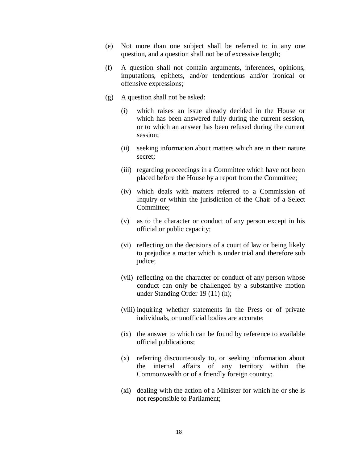- (e) Not more than one subject shall be referred to in any one question, and a question shall not be of excessive length;
- (f) A question shall not contain arguments, inferences, opinions, imputations, epithets, and/or tendentious and/or ironical or offensive expressions;
- (g) A question shall not be asked:
	- (i) which raises an issue already decided in the House or which has been answered fully during the current session, or to which an answer has been refused during the current session;
	- (ii) seeking information about matters which are in their nature secret;
	- (iii) regarding proceedings in a Committee which have not been placed before the House by a report from the Committee;
	- (iv) which deals with matters referred to a Commission of Inquiry or within the jurisdiction of the Chair of a Select Committee;
	- (v) as to the character or conduct of any person except in his official or public capacity;
	- (vi) reflecting on the decisions of a court of law or being likely to prejudice a matter which is under trial and therefore sub judice;
	- (vii) reflecting on the character or conduct of any person whose conduct can only be challenged by a substantive motion under Standing Order 19 (11) (h);
	- (viii) inquiring whether statements in the Press or of private individuals, or unofficial bodies are accurate;
	- (ix) the answer to which can be found by reference to available official publications;
	- (x) referring discourteously to, or seeking information about the internal affairs of any territory within the Commonwealth or of a friendly foreign country;
	- (xi) dealing with the action of a Minister for which he or she is not responsible to Parliament;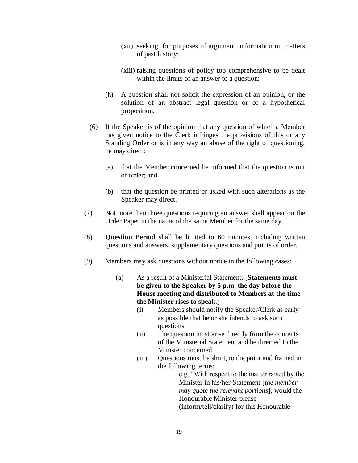- (xii) seeking, for purposes of argument, information on matters of past history;
- (xiii) raising questions of policy too comprehensive to be dealt within the limits of an answer to a question:
- (h) A question shall not solicit the expression of an opinion, or the solution of an abstract legal question or of a hypothetical proposition.
- (6) If the Speaker is of the opinion that any question of which a Member has given notice to the Clerk infringes the provisions of this or any Standing Order or is in any way an abuse of the right of questioning, he may direct:
	- (a) that the Member concerned be informed that the question is out of order; and
	- (b) that the question be printed or asked with such alterations as the Speaker may direct.
- **(**7) Not more than three questions requiring an answer shall appear on the Order Paper in the name of the same Member for the same day.
- (8) **Question Period** shall be limited to 60 minutes, including written questions and answers, supplementary questions and points of order.
- (9) Members may ask questions without notice in the following cases:
	- (a) As a result of a Ministerial Statement. [**Statements must be given to the Speaker by 5 p.m. the day before the House meeting and distributed to Members at the time the Minister rises to speak**.]
		- (i) Members should notify the Speaker/Clerk as early as possible that he or she intends to ask such questions.
		- (ii) The question must arise directly from the contents of the Ministerial Statement and be directed to the Minister concerned.
		- (iii) Questions must be short, to the point and framed in the following terms:

e.g. "With respect to the matter raised by the Minister in his/her Statement [*the member may quote the relevant portions*], would the Honourable Minister please (inform/tell/clarify) for this Honourable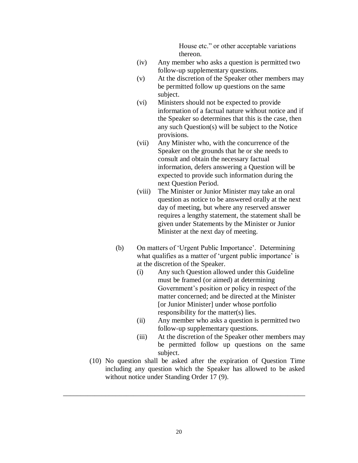House etc." or other acceptable variations thereon.

- (iv) Any member who asks a question is permitted two follow-up supplementary questions.
- (v) At the discretion of the Speaker other members may be permitted follow up questions on the same subject.
- (vi) Ministers should not be expected to provide information of a factual nature without notice and if the Speaker so determines that this is the case, then any such Question(s) will be subject to the Notice provisions.
- (vii) Any Minister who, with the concurrence of the Speaker on the grounds that he or she needs to consult and obtain the necessary factual information, defers answering a Question will be expected to provide such information during the next Question Period.
- (viii) The Minister or Junior Minister may take an oral question as notice to be answered orally at the next day of meeting, but where any reserved answer requires a lengthy statement, the statement shall be given under Statements by the Minister or Junior Minister at the next day of meeting.
- (b) On matters of 'Urgent Public Importance'. Determining what qualifies as a matter of 'urgent public importance' is at the discretion of the Speaker.
	- (i) Any such Question allowed under this Guideline must be framed (or aimed) at determining Government's position or policy in respect of the matter concerned; and be directed at the Minister [or Junior Minister] under whose portfolio responsibility for the matter(s) lies.
	- (ii) Any member who asks a question is permitted two follow-up supplementary questions.
	- (iii) At the discretion of the Speaker other members may be permitted follow up questions on the same subject.
- (10) No question shall be asked after the expiration of Question Time including any question which the Speaker has allowed to be asked without notice under Standing Order 17 (9).

\_\_\_\_\_\_\_\_\_\_\_\_\_\_\_\_\_\_\_\_\_\_\_\_\_\_\_\_\_\_\_\_\_\_\_\_\_\_\_\_\_\_\_\_\_\_\_\_\_\_\_\_\_\_\_\_\_\_\_\_\_\_\_\_\_\_\_\_\_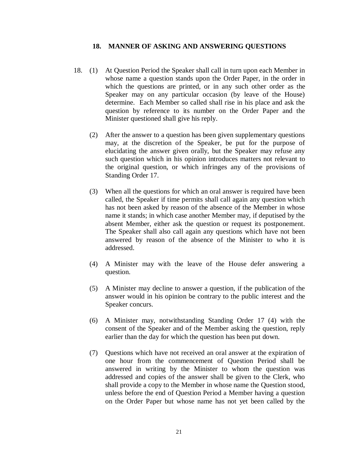#### **18. MANNER OF ASKING AND ANSWERING QUESTIONS**

- 18. (1) At Question Period the Speaker shall call in turn upon each Member in whose name a question stands upon the Order Paper, in the order in which the questions are printed, or in any such other order as the Speaker may on any particular occasion (by leave of the House) determine. Each Member so called shall rise in his place and ask the question by reference to its number on the Order Paper and the Minister questioned shall give his reply.
	- (2) After the answer to a question has been given supplementary questions may, at the discretion of the Speaker, be put for the purpose of elucidating the answer given orally, but the Speaker may refuse any such question which in his opinion introduces matters not relevant to the original question, or which infringes any of the provisions of Standing Order 17.
	- (3) When all the questions for which an oral answer is required have been called, the Speaker if time permits shall call again any question which has not been asked by reason of the absence of the Member in whose name it stands; in which case another Member may, if deputised by the absent Member, either ask the question or request its postponement. The Speaker shall also call again any questions which have not been answered by reason of the absence of the Minister to who it is addressed.
	- (4) A Minister may with the leave of the House defer answering a question.
	- (5) A Minister may decline to answer a question, if the publication of the answer would in his opinion be contrary to the public interest and the Speaker concurs.
	- (6) A Minister may, notwithstanding Standing Order 17 (4) with the consent of the Speaker and of the Member asking the question, reply earlier than the day for which the question has been put down.
	- (7) Questions which have not received an oral answer at the expiration of one hour from the commencement of Question Period shall be answered in writing by the Minister to whom the question was addressed and copies of the answer shall be given to the Clerk, who shall provide a copy to the Member in whose name the Question stood, unless before the end of Question Period a Member having a question on the Order Paper but whose name has not yet been called by the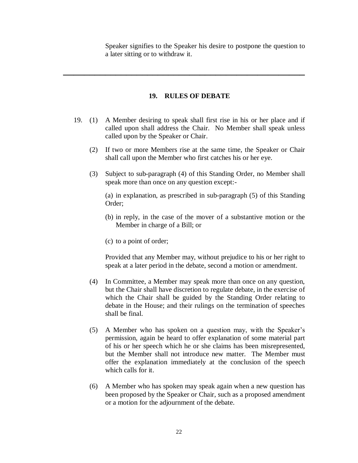Speaker signifies to the Speaker his desire to postpone the question to a later sitting or to withdraw it.

# **19. RULES OF DEBATE**

**\_\_\_\_\_\_\_\_\_\_\_\_\_\_\_\_\_\_\_\_\_\_\_\_\_\_\_\_\_\_\_\_\_\_\_\_\_\_\_\_\_\_\_\_\_\_**

- 19. (1) A Member desiring to speak shall first rise in his or her place and if called upon shall address the Chair. No Member shall speak unless called upon by the Speaker or Chair.
	- (2) If two or more Members rise at the same time, the Speaker or Chair shall call upon the Member who first catches his or her eye.
	- (3) Subject to sub-paragraph (4) of this Standing Order, no Member shall speak more than once on any question except:-

(a) in explanation, as prescribed in sub-paragraph (5) of this Standing Order;

- (b) in reply, in the case of the mover of a substantive motion or the Member in charge of a Bill; or
- (c) to a point of order;

Provided that any Member may, without prejudice to his or her right to speak at a later period in the debate, second a motion or amendment.

- (4) In Committee, a Member may speak more than once on any question, but the Chair shall have discretion to regulate debate, in the exercise of which the Chair shall be guided by the Standing Order relating to debate in the House; and their rulings on the termination of speeches shall be final.
- (5) A Member who has spoken on a question may, with the Speaker's permission, again be heard to offer explanation of some material part of his or her speech which he or she claims has been misrepresented, but the Member shall not introduce new matter. The Member must offer the explanation immediately at the conclusion of the speech which calls for it.
- (6) A Member who has spoken may speak again when a new question has been proposed by the Speaker or Chair, such as a proposed amendment or a motion for the adjournment of the debate.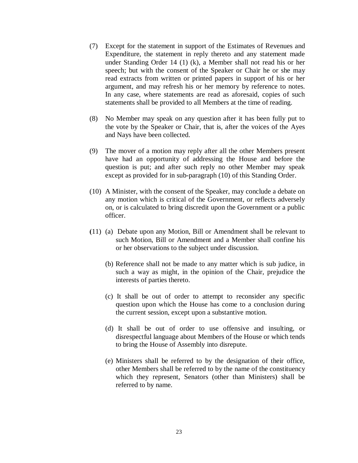- (7) Except for the statement in support of the Estimates of Revenues and Expenditure, the statement in reply thereto and any statement made under Standing Order 14 (1) (k), a Member shall not read his or her speech; but with the consent of the Speaker or Chair he or she may read extracts from written or printed papers in support of his or her argument, and may refresh his or her memory by reference to notes. In any case, where statements are read as aforesaid, copies of such statements shall be provided to all Members at the time of reading.
- (8) No Member may speak on any question after it has been fully put to the vote by the Speaker or Chair, that is, after the voices of the Ayes and Nays have been collected.
- (9) The mover of a motion may reply after all the other Members present have had an opportunity of addressing the House and before the question is put; and after such reply no other Member may speak except as provided for in sub-paragraph (10) of this Standing Order.
- (10) A Minister, with the consent of the Speaker, may conclude a debate on any motion which is critical of the Government, or reflects adversely on, or is calculated to bring discredit upon the Government or a public officer.
- **(**11) (a) Debate upon any Motion, Bill or Amendment shall be relevant to such Motion, Bill or Amendment and a Member shall confine his or her observations to the subject under discussion.
	- (b) Reference shall not be made to any matter which is sub judice, in such a way as might, in the opinion of the Chair, prejudice the interests of parties thereto.
	- (c) It shall be out of order to attempt to reconsider any specific question upon which the House has come to a conclusion during the current session, except upon a substantive motion.
	- (d) It shall be out of order to use offensive and insulting, or disrespectful language about Members of the House or which tends to bring the House of Assembly into disrepute.
	- (e) Ministers shall be referred to by the designation of their office, other Members shall be referred to by the name of the constituency which they represent, Senators (other than Ministers) shall be referred to by name.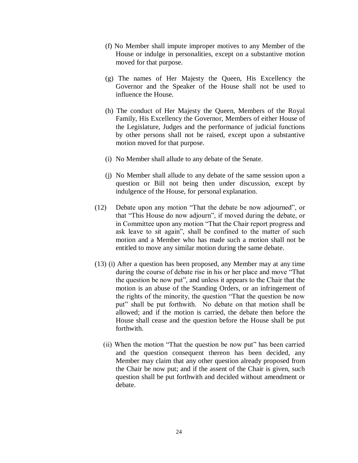- (f) No Member shall impute improper motives to any Member of the House or indulge in personalities, except on a substantive motion moved for that purpose.
- (g) The names of Her Majesty the Queen, His Excellency the Governor and the Speaker of the House shall not be used to influence the House.
- (h) The conduct of Her Majesty the Queen, Members of the Royal Family, His Excellency the Governor, Members of either House of the Legislature, Judges and the performance of judicial functions by other persons shall not be raised, except upon a substantive motion moved for that purpose.
- (i) No Member shall allude to any debate of the Senate.
- (j) No Member shall allude to any debate of the same session upon a question or Bill not being then under discussion, except by indulgence of the House, for personal explanation.
- (12) Debate upon any motion "That the debate be now adjourned", or that "This House do now adjourn", if moved during the debate, or in Committee upon any motion "That the Chair report progress and ask leave to sit again", shall be confined to the matter of such motion and a Member who has made such a motion shall not be entitled to move any similar motion during the same debate.
- (13) (i) After a question has been proposed, any Member may at any time during the course of debate rise in his or her place and move "That the question be now put", and unless it appears to the Chair that the motion is an abuse of the Standing Orders, or an infringement of the rights of the minority, the question "That the question be now put" shall be put forthwith. No debate on that motion shall be allowed; and if the motion is carried, the debate then before the House shall cease and the question before the House shall be put forthwith.
	- (ii) When the motion "That the question be now put" has been carried and the question consequent thereon has been decided, any Member may claim that any other question already proposed from the Chair be now put; and if the assent of the Chair is given, such question shall be put forthwith and decided without amendment or debate.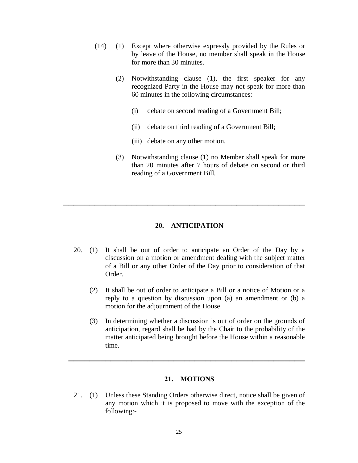- (14) (1) Except where otherwise expressly provided by the Rules or by leave of the House, no member shall speak in the House for more than 30 minutes.
	- (2) Notwithstanding clause (1), the first speaker for any recognized Party in the House may not speak for more than 60 minutes in the following circumstances:
		- (i) debate on second reading of a Government Bill;
		- (ii) debate on third reading of a Government Bill;
		- **(**iii) debate on any other motion.
	- (3) Notwithstanding clause (1) no Member shall speak for more than 20 minutes after 7 hours of debate on second or third reading of a Government Bill.

# **20. ANTICIPATION**

**\_\_\_\_\_\_\_\_\_\_\_\_\_\_\_\_\_\_\_\_\_\_\_\_\_\_\_\_\_\_\_\_\_\_\_\_\_\_\_\_\_\_\_\_\_\_**

- 20. (1) It shall be out of order to anticipate an Order of the Day by a discussion on a motion or amendment dealing with the subject matter of a Bill or any other Order of the Day prior to consideration of that Order.
	- (2) It shall be out of order to anticipate a Bill or a notice of Motion or a reply to a question by discussion upon (a) an amendment or (b) a motion for the adjournment of the House.
	- (3) In determining whether a discussion is out of order on the grounds of anticipation, regard shall be had by the Chair to the probability of the matter anticipated being brought before the House within a reasonable time.

# **21. MOTIONS**

**\_\_\_\_\_\_\_\_\_\_\_\_\_\_\_\_\_\_\_\_\_\_\_\_\_\_\_\_\_\_\_\_\_\_\_\_\_\_\_\_\_\_\_\_\_**

21. (1) Unless these Standing Orders otherwise direct, notice shall be given of any motion which it is proposed to move with the exception of the following:-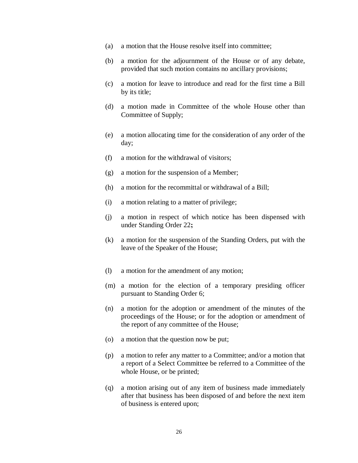- (a) a motion that the House resolve itself into committee;
- (b) a motion for the adjournment of the House or of any debate, provided that such motion contains no ancillary provisions;
- (c) a motion for leave to introduce and read for the first time a Bill by its title;
- (d) a motion made in Committee of the whole House other than Committee of Supply;
- (e) a motion allocating time for the consideration of any order of the day;
- (f) a motion for the withdrawal of visitors;
- (g) a motion for the suspension of a Member;
- (h) a motion for the recommittal or withdrawal of a Bill;
- (i) a motion relating to a matter of privilege;
- (j) a motion in respect of which notice has been dispensed with under Standing Order 22**;**
- (k) a motion for the suspension of the Standing Orders, put with the leave of the Speaker of the House;
- (l) a motion for the amendment of any motion;
- (m) a motion for the election of a temporary presiding officer pursuant to Standing Order 6;
- (n) a motion for the adoption or amendment of the minutes of the proceedings of the House; or for the adoption or amendment of the report of any committee of the House;
- (o) a motion that the question now be put;
- (p) a motion to refer any matter to a Committee; and/or a motion that a report of a Select Committee be referred to a Committee of the whole House, or be printed;
- (q) a motion arising out of any item of business made immediately after that business has been disposed of and before the next item of business is entered upon;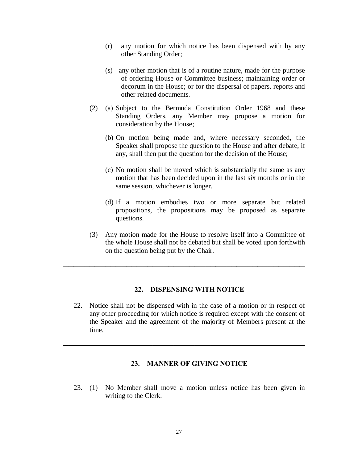- (r) any motion for which notice has been dispensed with by any other Standing Order;
- (s) any other motion that is of a routine nature, made for the purpose of ordering House or Committee business; maintaining order or decorum in the House; or for the dispersal of papers, reports and other related documents.
- (2) (a) Subject to the Bermuda Constitution Order 1968 and these Standing Orders, any Member may propose a motion for consideration by the House;
	- (b) On motion being made and, where necessary seconded, the Speaker shall propose the question to the House and after debate, if any, shall then put the question for the decision of the House;
	- (c) No motion shall be moved which is substantially the same as any motion that has been decided upon in the last six months or in the same session, whichever is longer.
	- (d) If a motion embodies two or more separate but related propositions, the propositions may be proposed as separate questions.
- (3) Any motion made for the House to resolve itself into a Committee of the whole House shall not be debated but shall be voted upon forthwith on the question being put by the Chair.

### **22. DISPENSING WITH NOTICE**

**\_\_\_\_\_\_\_\_\_\_\_\_\_\_\_\_\_\_\_\_\_\_\_\_\_\_\_\_\_\_\_\_\_\_\_\_\_\_\_\_\_\_\_\_\_\_**

22. Notice shall not be dispensed with in the case of a motion or in respect of any other proceeding for which notice is required except with the consent of the Speaker and the agreement of the majority of Members present at the time.

# **23. MANNER OF GIVING NOTICE**

**\_\_\_\_\_\_\_\_\_\_\_\_\_\_\_\_\_\_\_\_\_\_\_\_\_\_\_\_\_\_\_\_\_\_\_\_\_\_\_\_\_\_\_\_\_\_**

23. (1) No Member shall move a motion unless notice has been given in writing to the Clerk.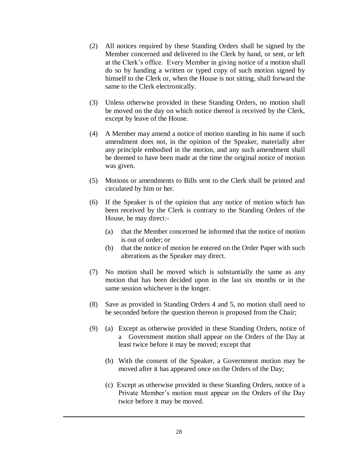- (2) All notices required by these Standing Orders shall be signed by the Member concerned and delivered to the Clerk by hand, or sent, or left at the Clerk's office. Every Member in giving notice of a motion shall do so by handing a written or typed copy of such motion signed by himself to the Clerk or, when the House is not sitting, shall forward the same to the Clerk electronically.
- (3) Unless otherwise provided in these Standing Orders, no motion shall be moved on the day on which notice thereof is received by the Clerk, except by leave of the House.
- (4) A Member may amend a notice of motion standing in his name if such amendment does not, in the opinion of the Speaker, materially alter any principle embodied in the motion, and any such amendment shall be deemed to have been made at the time the original notice of motion was given.
- (5) Motions or amendments to Bills sent to the Clerk shall be printed and circulated by him or her.
- (6) If the Speaker is of the opinion that any notice of motion which has been received by the Clerk is contrary to the Standing Orders of the House, he may direct:-
	- (a) that the Member concerned be informed that the notice of motion is out of order; or
	- (b) that the notice of motion be entered on the Order Paper with such alterations as the Speaker may direct.
- (7) No motion shall be moved which is substantially the same as any motion that has been decided upon in the last six months or in the same session whichever is the longer.
- (8) Save as provided in Standing Orders 4 and 5, no motion shall need to be seconded before the question thereon is proposed from the Chair;
- (9) (a) Except as otherwise provided in these Standing Orders, notice of a Government motion shall appear on the Orders of the Day at least twice before it may be moved; except that
	- (b) With the consent of the Speaker, a Government motion may be moved after it has appeared once on the Orders of the Day;
	- (c) Except as otherwise provided in these Standing Orders, notice of a Private Member's motion must appear on the Orders of the Day twice before it may be moved.

**\_\_\_\_\_\_\_\_\_\_\_\_\_\_\_\_\_\_\_\_\_\_\_\_\_\_\_\_\_\_\_\_\_\_\_\_\_\_\_\_\_\_\_\_\_\_**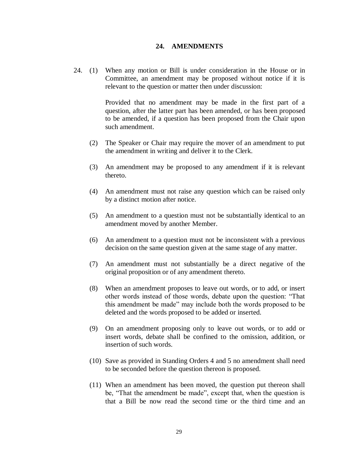#### **24. AMENDMENTS**

24. (1) When any motion or Bill is under consideration in the House or in Committee, an amendment may be proposed without notice if it is relevant to the question or matter then under discussion:

> Provided that no amendment may be made in the first part of a question, after the latter part has been amended, or has been proposed to be amended, if a question has been proposed from the Chair upon such amendment.

- (2) The Speaker or Chair may require the mover of an amendment to put the amendment in writing and deliver it to the Clerk.
- (3) An amendment may be proposed to any amendment if it is relevant thereto.
- (4) An amendment must not raise any question which can be raised only by a distinct motion after notice.
- (5) An amendment to a question must not be substantially identical to an amendment moved by another Member.
- (6) An amendment to a question must not be inconsistent with a previous decision on the same question given at the same stage of any matter.
- (7) An amendment must not substantially be a direct negative of the original proposition or of any amendment thereto.
- (8) When an amendment proposes to leave out words, or to add, or insert other words instead of those words, debate upon the question: "That this amendment be made" may include both the words proposed to be deleted and the words proposed to be added or inserted.
- (9) On an amendment proposing only to leave out words, or to add or insert words, debate shall be confined to the omission, addition, or insertion of such words.
- (10) Save as provided in Standing Orders 4 and 5 no amendment shall need to be seconded before the question thereon is proposed.
- (11) When an amendment has been moved, the question put thereon shall be, "That the amendment be made", except that, when the question is that a Bill be now read the second time or the third time and an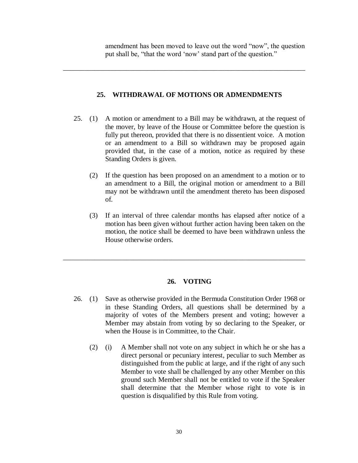amendment has been moved to leave out the word "now", the question put shall be, "that the word 'now' stand part of the question."

# **25. WITHDRAWAL OF MOTIONS OR ADMENDMENTS**

\_\_\_\_\_\_\_\_\_\_\_\_\_\_\_\_\_\_\_\_\_\_\_\_\_\_\_\_\_\_\_\_\_\_\_\_\_\_\_\_\_\_\_\_\_\_\_\_\_\_\_\_\_\_\_\_\_\_\_\_\_\_\_\_\_\_\_\_\_

- 25. (1) A motion or amendment to a Bill may be withdrawn, at the request of the mover, by leave of the House or Committee before the question is fully put thereon, provided that there is no dissentient voice. A motion or an amendment to a Bill so withdrawn may be proposed again provided that, in the case of a motion, notice as required by these Standing Orders is given.
	- (2) If the question has been proposed on an amendment to a motion or to an amendment to a Bill, the original motion or amendment to a Bill may not be withdrawn until the amendment thereto has been disposed of.
	- (3) If an interval of three calendar months has elapsed after notice of a motion has been given without further action having been taken on the motion, the notice shall be deemed to have been withdrawn unless the House otherwise orders.

# **26. VOTING**

\_\_\_\_\_\_\_\_\_\_\_\_\_\_\_\_\_\_\_\_\_\_\_\_\_\_\_\_\_\_\_\_\_\_\_\_\_\_\_\_\_\_\_\_\_\_\_\_\_\_\_\_\_\_\_\_\_\_\_\_\_\_\_\_\_\_\_\_\_

- 26. (1) Save as otherwise provided in the Bermuda Constitution Order 1968 or in these Standing Orders, all questions shall be determined by a majority of votes of the Members present and voting; however a Member may abstain from voting by so declaring to the Speaker, or when the House is in Committee, to the Chair.
	- (2) (i) A Member shall not vote on any subject in which he or she has a direct personal or pecuniary interest, peculiar to such Member as distinguished from the public at large, and if the right of any such Member to vote shall be challenged by any other Member on this ground such Member shall not be entitled to vote if the Speaker shall determine that the Member whose right to vote is in question is disqualified by this Rule from voting.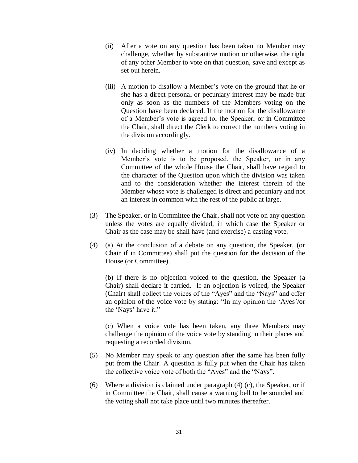- (ii) After a vote on any question has been taken no Member may challenge, whether by substantive motion or otherwise, the right of any other Member to vote on that question, save and except as set out herein.
- (iii) A motion to disallow a Member's vote on the ground that he or she has a direct personal or pecuniary interest may be made but only as soon as the numbers of the Members voting on the Question have been declared. If the motion for the disallowance of a Member's vote is agreed to, the Speaker, or in Committee the Chair, shall direct the Clerk to correct the numbers voting in the division accordingly.
- (iv) In deciding whether a motion for the disallowance of a Member's vote is to be proposed, the Speaker, or in any Committee of the whole House the Chair, shall have regard to the character of the Question upon which the division was taken and to the consideration whether the interest therein of the Member whose vote is challenged is direct and pecuniary and not an interest in common with the rest of the public at large.
- (3) The Speaker, or in Committee the Chair, shall not vote on any question unless the votes are equally divided, in which case the Speaker or Chair as the case may be shall have (and exercise) a casting vote.
- (4) (a) At the conclusion of a debate on any question, the Speaker, (or Chair if in Committee) shall put the question for the decision of the House (or Committee).

(b) If there is no objection voiced to the question, the Speaker (a Chair) shall declare it carried. If an objection is voiced, the Speaker (Chair) shall collect the voices of the "Ayes" and the "Nays" and offer an opinion of the voice vote by stating: "In my opinion the 'Ayes'/or the 'Nays' have it."

(c) When a voice vote has been taken, any three Members may challenge the opinion of the voice vote by standing in their places and requesting a recorded division.

- (5) No Member may speak to any question after the same has been fully put from the Chair. A question is fully put when the Chair has taken the collective voice vote of both the "Ayes" and the "Nays".
- (6) Where a division is claimed under paragraph (4) (c), the Speaker, or if in Committee the Chair, shall cause a warning bell to be sounded and the voting shall not take place until two minutes thereafter.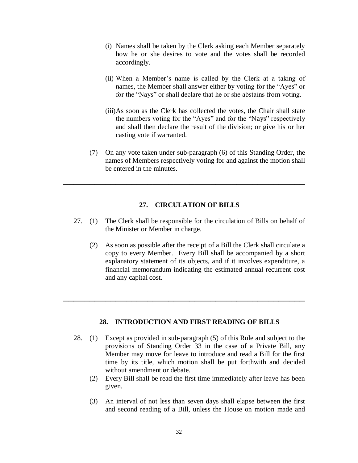- (i) Names shall be taken by the Clerk asking each Member separately how he or she desires to vote and the votes shall be recorded accordingly.
- (ii) When a Member's name is called by the Clerk at a taking of names, the Member shall answer either by voting for the "Ayes" or for the "Nays" or shall declare that he or she abstains from voting.
- (iii)As soon as the Clerk has collected the votes, the Chair shall state the numbers voting for the "Ayes" and for the "Nays" respectively and shall then declare the result of the division; or give his or her casting vote if warranted.
- (7) On any vote taken under sub-paragraph (6) of this Standing Order, the names of Members respectively voting for and against the motion shall be entered in the minutes.

#### **27. CIRCULATION OF BILLS**

**\_\_\_\_\_\_\_\_\_\_\_\_\_\_\_\_\_\_\_\_\_\_\_\_\_\_\_\_\_\_\_\_\_\_\_\_\_\_\_\_\_\_\_\_\_\_**

- 27. (1) The Clerk shall be responsible for the circulation of Bills on behalf of the Minister or Member in charge.
	- (2) As soon as possible after the receipt of a Bill the Clerk shall circulate a copy to every Member. Every Bill shall be accompanied by a short explanatory statement of its objects, and if it involves expenditure, a financial memorandum indicating the estimated annual recurrent cost and any capital cost.

#### **28. INTRODUCTION AND FIRST READING OF BILLS**

**\_\_\_\_\_\_\_\_\_\_\_\_\_\_\_\_\_\_\_\_\_\_\_\_\_\_\_\_\_\_\_\_\_\_\_\_\_\_\_\_\_\_\_\_\_\_**

- 28. (1) Except as provided in sub-paragraph (5) of this Rule and subject to the provisions of Standing Order 33 in the case of a Private Bill, any Member may move for leave to introduce and read a Bill for the first time by its title, which motion shall be put forthwith and decided without amendment or debate.
	- (2) Every Bill shall be read the first time immediately after leave has been given.
	- (3) An interval of not less than seven days shall elapse between the first and second reading of a Bill, unless the House on motion made and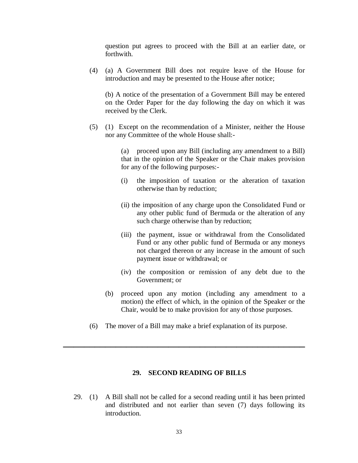question put agrees to proceed with the Bill at an earlier date, or forthwith.

(4) (a) A Government Bill does not require leave of the House for introduction and may be presented to the House after notice;

(b) A notice of the presentation of a Government Bill may be entered on the Order Paper for the day following the day on which it was received by the Clerk.

(5) (1) Except on the recommendation of a Minister, neither the House nor any Committee of the whole House shall:-

> (a) proceed upon any Bill (including any amendment to a Bill) that in the opinion of the Speaker or the Chair makes provision for any of the following purposes:-

- (i) the imposition of taxation or the alteration of taxation otherwise than by reduction;
- (ii) the imposition of any charge upon the Consolidated Fund or any other public fund of Bermuda or the alteration of any such charge otherwise than by reduction;
- (iii) the payment, issue or withdrawal from the Consolidated Fund or any other public fund of Bermuda or any moneys not charged thereon or any increase in the amount of such payment issue or withdrawal; or
- (iv) the composition or remission of any debt due to the Government; or
- (b) proceed upon any motion (including any amendment to a motion) the effect of which, in the opinion of the Speaker or the Chair, would be to make provision for any of those purposes.
- (6) The mover of a Bill may make a brief explanation of its purpose.

**\_\_\_\_\_\_\_\_\_\_\_\_\_\_\_\_\_\_\_\_\_\_\_\_\_\_\_\_\_\_\_\_\_\_\_\_\_\_\_\_\_\_\_\_\_\_**

# **29. SECOND READING OF BILLS**

29. (1) A Bill shall not be called for a second reading until it has been printed and distributed and not earlier than seven (7) days following its introduction.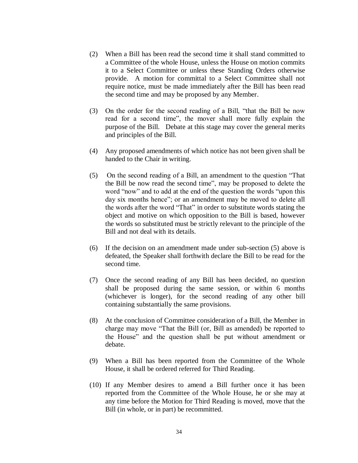- (2) When a Bill has been read the second time it shall stand committed to a Committee of the whole House, unless the House on motion commits it to a Select Committee or unless these Standing Orders otherwise provide. A motion for committal to a Select Committee shall not require notice, must be made immediately after the Bill has been read the second time and may be proposed by any Member.
- (3) On the order for the second reading of a Bill, "that the Bill be now read for a second time", the mover shall more fully explain the purpose of the Bill. Debate at this stage may cover the general merits and principles of the Bill.
- (4) Any proposed amendments of which notice has not been given shall be handed to the Chair in writing.
- (5) On the second reading of a Bill, an amendment to the question "That the Bill be now read the second time", may be proposed to delete the word "now" and to add at the end of the question the words "upon this day six months hence"; or an amendment may be moved to delete all the words after the word "That" in order to substitute words stating the object and motive on which opposition to the Bill is based, however the words so substituted must be strictly relevant to the principle of the Bill and not deal with its details.
- (6) If the decision on an amendment made under sub-section (5) above is defeated, the Speaker shall forthwith declare the Bill to be read for the second time.
- (7) Once the second reading of any Bill has been decided, no question shall be proposed during the same session, or within 6 months (whichever is longer), for the second reading of any other bill containing substantially the same provisions.
- (8) At the conclusion of Committee consideration of a Bill, the Member in charge may move "That the Bill (or, Bill as amended) be reported to the House" and the question shall be put without amendment or debate.
- (9) When a Bill has been reported from the Committee of the Whole House, it shall be ordered referred for Third Reading.
- (10) If any Member desires to amend a Bill further once it has been reported from the Committee of the Whole House, he or she may at any time before the Motion for Third Reading is moved, move that the Bill (in whole, or in part) be recommitted.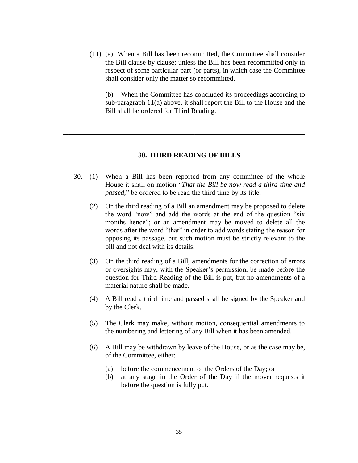(11) (a) When a Bill has been recommitted, the Committee shall consider the Bill clause by clause; unless the Bill has been recommitted only in respect of some particular part (or parts), in which case the Committee shall consider only the matter so recommitted.

 (b) When the Committee has concluded its proceedings according to sub-paragraph 11(a) above, it shall report the Bill to the House and the Bill shall be ordered for Third Reading.

# **30. THIRD READING OF BILLS**

**\_\_\_\_\_\_\_\_\_\_\_\_\_\_\_\_\_\_\_\_\_\_\_\_\_\_\_\_\_\_\_\_\_\_\_\_\_\_\_\_\_\_\_\_\_\_**

- 30. (1) When a Bill has been reported from any committee of the whole House it shall on motion "*That the Bill be now read a third time and passed,*" be ordered to be read the third time by its title.
	- (2) On the third reading of a Bill an amendment may be proposed to delete the word "now" and add the words at the end of the question "six months hence"; or an amendment may be moved to delete all the words after the word "that" in order to add words stating the reason for opposing its passage, but such motion must be strictly relevant to the bill and not deal with its details.
	- (3) On the third reading of a Bill, amendments for the correction of errors or oversights may, with the Speaker's permission, be made before the question for Third Reading of the Bill is put, but no amendments of a material nature shall be made.
	- (4) A Bill read a third time and passed shall be signed by the Speaker and by the Clerk.
	- (5) The Clerk may make, without motion, consequential amendments to the numbering and lettering of any Bill when it has been amended.
	- (6) A Bill may be withdrawn by leave of the House, or as the case may be, of the Committee, either:
		- (a) before the commencement of the Orders of the Day; or
		- (b) at any stage in the Order of the Day if the mover requests it before the question is fully put.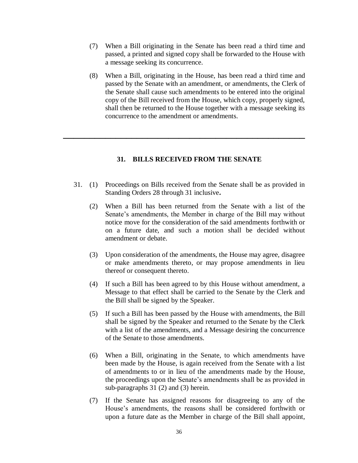- (7) When a Bill originating in the Senate has been read a third time and passed, a printed and signed copy shall be forwarded to the House with a message seeking its concurrence.
- (8) When a Bill, originating in the House, has been read a third time and passed by the Senate with an amendment, or amendments, the Clerk of the Senate shall cause such amendments to be entered into the original copy of the Bill received from the House, which copy, properly signed, shall then be returned to the House together with a message seeking its concurrence to the amendment or amendments.

# **31. BILLS RECEIVED FROM THE SENATE**

**\_\_\_\_\_\_\_\_\_\_\_\_\_\_\_\_\_\_\_\_\_\_\_\_\_\_\_\_\_\_\_\_\_\_\_\_\_\_\_\_\_\_\_\_\_\_**

- 31. (1) Proceedings on Bills received from the Senate shall be as provided in Standing Orders 28 through 31 inclusive**.**
	- (2) When a Bill has been returned from the Senate with a list of the Senate's amendments, the Member in charge of the Bill may without notice move for the consideration of the said amendments forthwith or on a future date, and such a motion shall be decided without amendment or debate.
	- (3) Upon consideration of the amendments, the House may agree, disagree or make amendments thereto, or may propose amendments in lieu thereof or consequent thereto.
	- (4) If such a Bill has been agreed to by this House without amendment, a Message to that effect shall be carried to the Senate by the Clerk and the Bill shall be signed by the Speaker.
	- (5) If such a Bill has been passed by the House with amendments, the Bill shall be signed by the Speaker and returned to the Senate by the Clerk with a list of the amendments, and a Message desiring the concurrence of the Senate to those amendments.
	- (6) When a Bill, originating in the Senate, to which amendments have been made by the House, is again received from the Senate with a list of amendments to or in lieu of the amendments made by the House, the proceedings upon the Senate's amendments shall be as provided in sub-paragraphs 31 (2) and (3) herein.
	- (7) If the Senate has assigned reasons for disagreeing to any of the House's amendments, the reasons shall be considered forthwith or upon a future date as the Member in charge of the Bill shall appoint,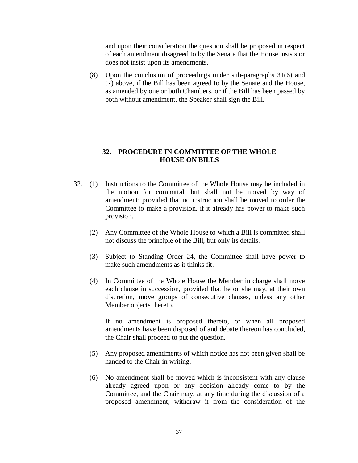and upon their consideration the question shall be proposed in respect of each amendment disagreed to by the Senate that the House insists or does not insist upon its amendments.

(8) Upon the conclusion of proceedings under sub-paragraphs 31(6) and (7) above, if the Bill has been agreed to by the Senate and the House, as amended by one or both Chambers, or if the Bill has been passed by both without amendment, the Speaker shall sign the Bill.

# **32. PROCEDURE IN COMMITTEE OF THE WHOLE HOUSE ON BILLS**

**\_\_\_\_\_\_\_\_\_\_\_\_\_\_\_\_\_\_\_\_\_\_\_\_\_\_\_\_\_\_\_\_\_\_\_\_\_\_\_\_\_\_\_\_\_\_**

- 32. (1) Instructions to the Committee of the Whole House may be included in the motion for committal, but shall not be moved by way of amendment; provided that no instruction shall be moved to order the Committee to make a provision, if it already has power to make such provision.
	- (2) Any Committee of the Whole House to which a Bill is committed shall not discuss the principle of the Bill, but only its details.
	- (3) Subject to Standing Order 24, the Committee shall have power to make such amendments as it thinks fit.
	- (4) In Committee of the Whole House the Member in charge shall move each clause in succession, provided that he or she may, at their own discretion, move groups of consecutive clauses, unless any other Member objects thereto.

If no amendment is proposed thereto, or when all proposed amendments have been disposed of and debate thereon has concluded, the Chair shall proceed to put the question.

- (5) Any proposed amendments of which notice has not been given shall be handed to the Chair in writing.
- (6) No amendment shall be moved which is inconsistent with any clause already agreed upon or any decision already come to by the Committee, and the Chair may, at any time during the discussion of a proposed amendment, withdraw it from the consideration of the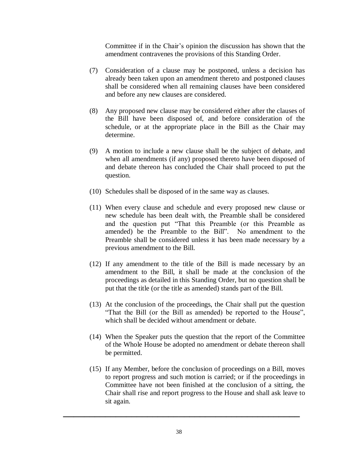Committee if in the Chair's opinion the discussion has shown that the amendment contravenes the provisions of this Standing Order.

- (7) Consideration of a clause may be postponed, unless a decision has already been taken upon an amendment thereto and postponed clauses shall be considered when all remaining clauses have been considered and before any new clauses are considered.
- (8) Any proposed new clause may be considered either after the clauses of the Bill have been disposed of, and before consideration of the schedule, or at the appropriate place in the Bill as the Chair may determine.
- (9) A motion to include a new clause shall be the subject of debate, and when all amendments (if any) proposed thereto have been disposed of and debate thereon has concluded the Chair shall proceed to put the question.
- (10) Schedules shall be disposed of in the same way as clauses.
- (11) When every clause and schedule and every proposed new clause or new schedule has been dealt with, the Preamble shall be considered and the question put "That this Preamble (or this Preamble as amended) be the Preamble to the Bill". No amendment to the Preamble shall be considered unless it has been made necessary by a previous amendment to the Bill.
- (12) If any amendment to the title of the Bill is made necessary by an amendment to the Bill, it shall be made at the conclusion of the proceedings as detailed in this Standing Order, but no question shall be put that the title (or the title as amended) stands part of the Bill.
- (13) At the conclusion of the proceedings, the Chair shall put the question "That the Bill (or the Bill as amended) be reported to the House", which shall be decided without amendment or debate.
- (14) When the Speaker puts the question that the report of the Committee of the Whole House be adopted no amendment or debate thereon shall be permitted.
- (15) If any Member, before the conclusion of proceedings on a Bill, moves to report progress and such motion is carried; or if the proceedings in Committee have not been finished at the conclusion of a sitting, the Chair shall rise and report progress to the House and shall ask leave to sit again.

**\_\_\_\_\_\_\_\_\_\_\_\_\_\_\_\_\_\_\_\_\_\_\_\_\_\_\_\_\_\_\_\_\_\_\_\_\_\_\_\_\_\_\_\_\_**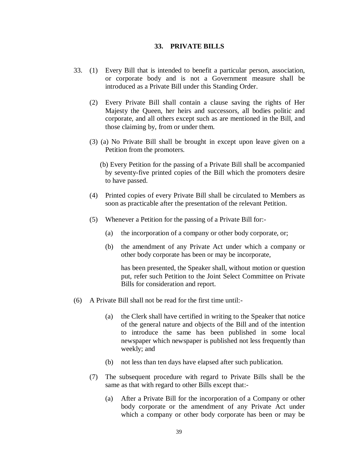#### **33. PRIVATE BILLS**

- 33. (1) Every Bill that is intended to benefit a particular person, association, or corporate body and is not a Government measure shall be introduced as a Private Bill under this Standing Order.
	- (2) Every Private Bill shall contain a clause saving the rights of Her Majesty the Queen, her heirs and successors, all bodies politic and corporate, and all others except such as are mentioned in the Bill, and those claiming by, from or under them.
	- (3) (a) No Private Bill shall be brought in except upon leave given on a Petition from the promoters.
		- (b) Every Petition for the passing of a Private Bill shall be accompanied by seventy-five printed copies of the Bill which the promoters desire to have passed.
	- (4) Printed copies of every Private Bill shall be circulated to Members as soon as practicable after the presentation of the relevant Petition.
	- (5) Whenever a Petition for the passing of a Private Bill for:-
		- (a) the incorporation of a company or other body corporate, or;
		- (b) the amendment of any Private Act under which a company or other body corporate has been or may be incorporate,

has been presented, the Speaker shall, without motion or question put, refer such Petition to the Joint Select Committee on Private Bills for consideration and report.

- (6) A Private Bill shall not be read for the first time until:-
	- (a) the Clerk shall have certified in writing to the Speaker that notice of the general nature and objects of the Bill and of the intention to introduce the same has been published in some local newspaper which newspaper is published not less frequently than weekly; and
	- (b) not less than ten days have elapsed after such publication.
	- (7) The subsequent procedure with regard to Private Bills shall be the same as that with regard to other Bills except that:-
		- (a) After a Private Bill for the incorporation of a Company or other body corporate or the amendment of any Private Act under which a company or other body corporate has been or may be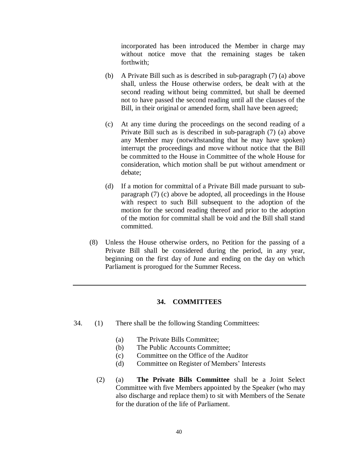incorporated has been introduced the Member in charge may without notice move that the remaining stages be taken forthwith;

- (b) A Private Bill such as is described in sub-paragraph (7) (a) above shall, unless the House otherwise orders, be dealt with at the second reading without being committed, but shall be deemed not to have passed the second reading until all the clauses of the Bill, in their original or amended form, shall have been agreed;
- (c) At any time during the proceedings on the second reading of a Private Bill such as is described in sub-paragraph (7) (a) above any Member may (notwithstanding that he may have spoken) interrupt the proceedings and move without notice that the Bill be committed to the House in Committee of the whole House for consideration, which motion shall be put without amendment or debate;
- (d) If a motion for committal of a Private Bill made pursuant to subparagraph (7) (c) above be adopted, all proceedings in the House with respect to such Bill subsequent to the adoption of the motion for the second reading thereof and prior to the adoption of the motion for committal shall be void and the Bill shall stand committed.
- (8) Unless the House otherwise orders, no Petition for the passing of a Private Bill shall be considered during the period, in any year, beginning on the first day of June and ending on the day on which Parliament is prorogued for the Summer Recess.

# **34. COMMITTEES**

- 34. (1) There shall be the following Standing Committees:
	- (a) The Private Bills Committee;
	- (b) The Public Accounts Committee;
	- (c) Committee on the Office of the Auditor
	- (d) Committee on Register of Members' Interests
	- (2) (a) **The Private Bills Committee** shall be a Joint Select Committee with five Members appointed by the Speaker (who may also discharge and replace them) to sit with Members of the Senate for the duration of the life of Parliament.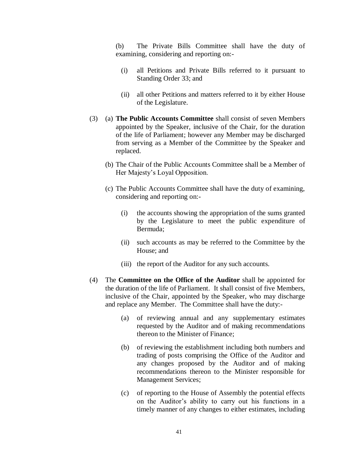(b) The Private Bills Committee shall have the duty of examining, considering and reporting on:-

- (i) all Petitions and Private Bills referred to it pursuant to Standing Order 33; and
- (ii) all other Petitions and matters referred to it by either House of the Legislature.
- (3) (a) **The Public Accounts Committee** shall consist of seven Members appointed by the Speaker, inclusive of the Chair, for the duration of the life of Parliament; however any Member may be discharged from serving as a Member of the Committee by the Speaker and replaced.
	- (b) The Chair of the Public Accounts Committee shall be a Member of Her Majesty's Loyal Opposition.
	- (c) The Public Accounts Committee shall have the duty of examining, considering and reporting on:-
		- (i) the accounts showing the appropriation of the sums granted by the Legislature to meet the public expenditure of Bermuda;
		- (ii) such accounts as may be referred to the Committee by the House; and
		- (iii) the report of the Auditor for any such accounts.
- (4) The **Committee on the Office of the Auditor** shall be appointed for the duration of the life of Parliament.It shall consist of five Members, inclusive of the Chair, appointed by the Speaker, who may discharge and replace any Member. The Committee shall have the duty:-
	- (a) of reviewing annual and any supplementary estimates requested by the Auditor and of making recommendations thereon to the Minister of Finance;
	- (b) of reviewing the establishment including both numbers and trading of posts comprising the Office of the Auditor and any changes proposed by the Auditor and of making recommendations thereon to the Minister responsible for Management Services;
	- (c) of reporting to the House of Assembly the potential effects on the Auditor's ability to carry out his functions in a timely manner of any changes to either estimates, including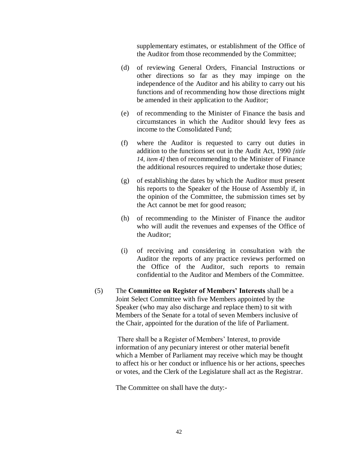supplementary estimates, or establishment of the Office of the Auditor from those recommended by the Committee;

- (d) of reviewing General Orders, Financial Instructions or other directions so far as they may impinge on the independence of the Auditor and his ability to carry out his functions and of recommending how those directions might be amended in their application to the Auditor;
- (e) of recommending to the Minister of Finance the basis and circumstances in which the Auditor should levy fees as income to the Consolidated Fund;
- (f) where the Auditor is requested to carry out duties in addition to the functions set out in the Audit Act, 1990 *[title 14, item 4]* then of recommending to the Minister of Finance the additional resources required to undertake those duties;
- (g) of establishing the dates by which the Auditor must present his reports to the Speaker of the House of Assembly if, in the opinion of the Committee, the submission times set by the Act cannot be met for good reason;
- (h) of recommending to the Minister of Finance the auditor who will audit the revenues and expenses of the Office of the Auditor;
- (i) of receiving and considering in consultation with the Auditor the reports of any practice reviews performed on the Office of the Auditor, such reports to remain confidential to the Auditor and Members of the Committee.
- (5) The **Committee on Register of Members' Interests** shall be a Joint Select Committee with five Members appointed by the Speaker (who may also discharge and replace them) to sit with Members of the Senate for a total of seven Members inclusive of the Chair, appointed for the duration of the life of Parliament.

There shall be a Register of Members' Interest, to provide information of any pecuniary interest or other material benefit which a Member of Parliament may receive which may be thought to affect his or her conduct or influence his or her actions, speeches or votes, and the Clerk of the Legislature shall act as the Registrar.

The Committee on shall have the duty:-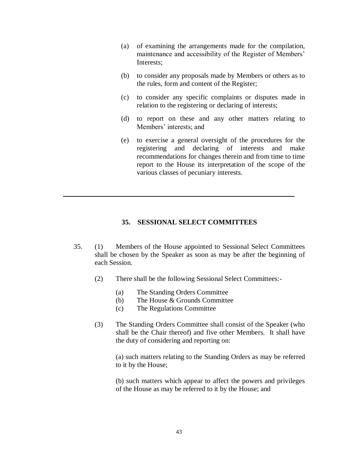- (a) of examining the arrangements made for the compilation, maintenance and accessibility of the Register of Members' Interests;
- (b) to consider any proposals made by Members or others as to the rules, form and content of the Register;
- (c) to consider any specific complaints or disputes made in relation to the registering or declaring of interests;
- (d) to report on these and any other matters relating to Members' interests; and
- (e) to exercise a general oversight of the procedures for the registering and declaring of interests and make recommendations for changes therein and from time to time report to the House its interpretation of the scope of the various classes of pecuniary interests.

#### **35. SESSIONAL SELECT COMMITTEES**

**\_\_\_\_\_\_\_\_\_\_\_\_\_\_\_\_\_\_\_\_\_\_\_\_\_\_\_\_\_\_\_\_\_\_\_\_\_\_\_\_\_\_\_\_**

- 35. (1) Members of the House appointed to Sessional Select Committees shall be chosen by the Speaker as soon as may be after the beginning of each Session.
	- (2) There shall be the following Sessional Select Committees:-
		- (a) The Standing Orders Committee
		- (b) The House & Grounds Committee
		- (c) The Regulations Committee
	- (3) The Standing Orders Committee shall consist of the Speaker (who shall be the Chair thereof) and five other Members. It shall have the duty of considering and reporting on:

(a) such matters relating to the Standing Orders as may be referred to it by the House;

(b) such matters which appear to affect the powers and privileges of the House as may be referred to it by the House; and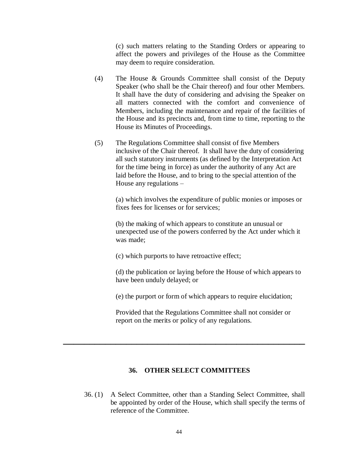(c) such matters relating to the Standing Orders or appearing to affect the powers and privileges of the House as the Committee may deem to require consideration.

- (4) The House & Grounds Committee shall consist of the Deputy Speaker (who shall be the Chair thereof) and four other Members. It shall have the duty of considering and advising the Speaker on all matters connected with the comfort and convenience of Members, including the maintenance and repair of the facilities of the House and its precincts and, from time to time, reporting to the House its Minutes of Proceedings.
- (5) The Regulations Committee shall consist of five Members inclusive of the Chair thereof. It shall have the duty of considering all such statutory instruments (as defined by the Interpretation Act for the time being in force) as under the authority of any Act are laid before the House, and to bring to the special attention of the House any regulations –

(a) which involves the expenditure of public monies or imposes or fixes fees for licenses or for services;

(b) the making of which appears to constitute an unusual or unexpected use of the powers conferred by the Act under which it was made;

(c) which purports to have retroactive effect;

(d) the publication or laying before the House of which appears to have been unduly delayed; or

(e) the purport or form of which appears to require elucidation;

Provided that the Regulations Committee shall not consider or report on the merits or policy of any regulations.

# **36. OTHER SELECT COMMITTEES**

**\_\_\_\_\_\_\_\_\_\_\_\_\_\_\_\_\_\_\_\_\_\_\_\_\_\_\_\_\_\_\_\_\_\_\_\_\_\_\_\_\_\_\_\_\_\_**

36. (1) A Select Committee, other than a Standing Select Committee, shall be appointed by order of the House, which shall specify the terms of reference of the Committee.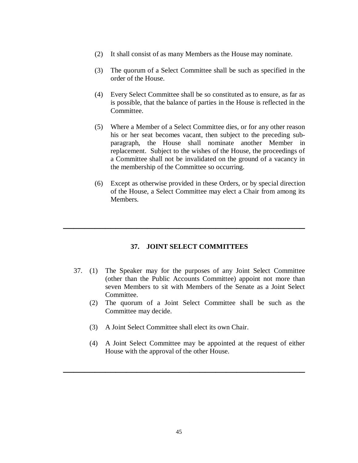- (2) It shall consist of as many Members as the House may nominate.
- (3) The quorum of a Select Committee shall be such as specified in the order of the House.
- (4) Every Select Committee shall be so constituted as to ensure, as far as is possible, that the balance of parties in the House is reflected in the Committee.
- (5) Where a Member of a Select Committee dies, or for any other reason his or her seat becomes vacant, then subject to the preceding subparagraph, the House shall nominate another Member in replacement. Subject to the wishes of the House, the proceedings of a Committee shall not be invalidated on the ground of a vacancy in the membership of the Committee so occurring.
- (6) Except as otherwise provided in these Orders, or by special direction of the House, a Select Committee may elect a Chair from among its Members.

# **37. JOINT SELECT COMMITTEES**

**\_\_\_\_\_\_\_\_\_\_\_\_\_\_\_\_\_\_\_\_\_\_\_\_\_\_\_\_\_\_\_\_\_\_\_\_\_\_\_\_\_\_\_\_\_\_**

- 37. (1) The Speaker may for the purposes of any Joint Select Committee (other than the Public Accounts Committee) appoint not more than seven Members to sit with Members of the Senate as a Joint Select Committee.
	- (2) The quorum of a Joint Select Committee shall be such as the Committee may decide.
	- (3) A Joint Select Committee shall elect its own Chair.
	- (4) A Joint Select Committee may be appointed at the request of either House with the approval of the other House.

**\_\_\_\_\_\_\_\_\_\_\_\_\_\_\_\_\_\_\_\_\_\_\_\_\_\_\_\_\_\_\_\_\_\_\_\_\_\_\_\_\_\_\_\_\_\_**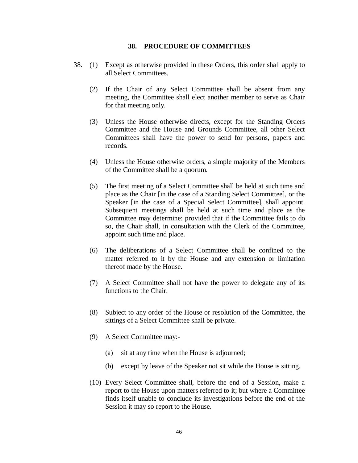#### **38. PROCEDURE OF COMMITTEES**

- 38. (1) Except as otherwise provided in these Orders, this order shall apply to all Select Committees.
	- (2) If the Chair of any Select Committee shall be absent from any meeting, the Committee shall elect another member to serve as Chair for that meeting only.
	- (3) Unless the House otherwise directs, except for the Standing Orders Committee and the House and Grounds Committee, all other Select Committees shall have the power to send for persons, papers and records.
	- (4) Unless the House otherwise orders, a simple majority of the Members of the Committee shall be a quorum.
	- (5) The first meeting of a Select Committee shall be held at such time and place as the Chair [in the case of a Standing Select Committee], or the Speaker [in the case of a Special Select Committee], shall appoint. Subsequent meetings shall be held at such time and place as the Committee may determine: provided that if the Committee fails to do so, the Chair shall, in consultation with the Clerk of the Committee, appoint such time and place.
	- (6) The deliberations of a Select Committee shall be confined to the matter referred to it by the House and any extension or limitation thereof made by the House.
	- (7) A Select Committee shall not have the power to delegate any of its functions to the Chair.
	- (8) Subject to any order of the House or resolution of the Committee, the sittings of a Select Committee shall be private.
	- (9) A Select Committee may:-
		- (a) sit at any time when the House is adjourned;
		- (b) except by leave of the Speaker not sit while the House is sitting.
	- (10) Every Select Committee shall, before the end of a Session, make a report to the House upon matters referred to it; but where a Committee finds itself unable to conclude its investigations before the end of the Session it may so report to the House.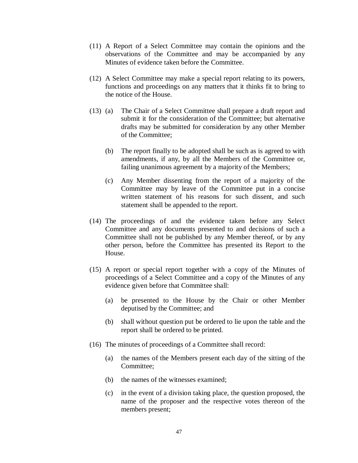- (11) A Report of a Select Committee may contain the opinions and the observations of the Committee and may be accompanied by any Minutes of evidence taken before the Committee.
- (12) A Select Committee may make a special report relating to its powers, functions and proceedings on any matters that it thinks fit to bring to the notice of the House.
- (13) (a) The Chair of a Select Committee shall prepare a draft report and submit it for the consideration of the Committee; but alternative drafts may be submitted for consideration by any other Member of the Committee;
	- (b) The report finally to be adopted shall be such as is agreed to with amendments, if any, by all the Members of the Committee or, failing unanimous agreement by a majority of the Members;
	- (c) Any Member dissenting from the report of a majority of the Committee may by leave of the Committee put in a concise written statement of his reasons for such dissent, and such statement shall be appended to the report.
- (14) The proceedings of and the evidence taken before any Select Committee and any documents presented to and decisions of such a Committee shall not be published by any Member thereof, or by any other person, before the Committee has presented its Report to the House.
- (15) A report or special report together with a copy of the Minutes of proceedings of a Select Committee and a copy of the Minutes of any evidence given before that Committee shall:
	- (a) be presented to the House by the Chair or other Member deputised by the Committee; and
	- (b) shall without question put be ordered to lie upon the table and the report shall be ordered to be printed.
- (16) The minutes of proceedings of a Committee shall record:
	- (a) the names of the Members present each day of the sitting of the Committee;
	- (b) the names of the witnesses examined;
	- (c) in the event of a division taking place, the question proposed, the name of the proposer and the respective votes thereon of the members present;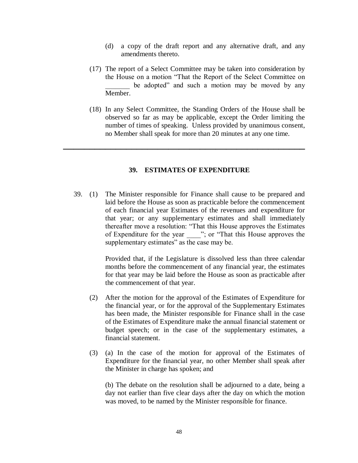- (d) a copy of the draft report and any alternative draft, and any amendments thereto.
- (17) The report of a Select Committee may be taken into consideration by the House on a motion "That the Report of the Select Committee on be adopted" and such a motion may be moved by any Member.
- (18) In any Select Committee, the Standing Orders of the House shall be observed so far as may be applicable, except the Order limiting the number of times of speaking. Unless provided by unanimous consent, no Member shall speak for more than 20 minutes at any one time.

# **39. ESTIMATES OF EXPENDITURE**

**\_\_\_\_\_\_\_\_\_\_\_\_\_\_\_\_\_\_\_\_\_\_\_\_\_\_\_\_\_\_\_\_\_\_\_\_\_\_\_\_\_\_\_\_\_\_**

39. (1) The Minister responsible for Finance shall cause to be prepared and laid before the House as soon as practicable before the commencement of each financial year Estimates of the revenues and expenditure for that year; or any supplementary estimates and shall immediately thereafter move a resolution: "That this House approves the Estimates of Expenditure for the year  $\therefore$  or "That this House approves the supplementary estimates" as the case may be.

> Provided that, if the Legislature is dissolved less than three calendar months before the commencement of any financial year, the estimates for that year may be laid before the House as soon as practicable after the commencement of that year.

- (2) After the motion for the approval of the Estimates of Expenditure for the financial year, or for the approval of the Supplementary Estimates has been made, the Minister responsible for Finance shall in the case of the Estimates of Expenditure make the annual financial statement or budget speech; or in the case of the supplementary estimates, a financial statement.
- (3) (a) In the case of the motion for approval of the Estimates of Expenditure for the financial year, no other Member shall speak after the Minister in charge has spoken; and

(b) The debate on the resolution shall be adjourned to a date, being a day not earlier than five clear days after the day on which the motion was moved, to be named by the Minister responsible for finance.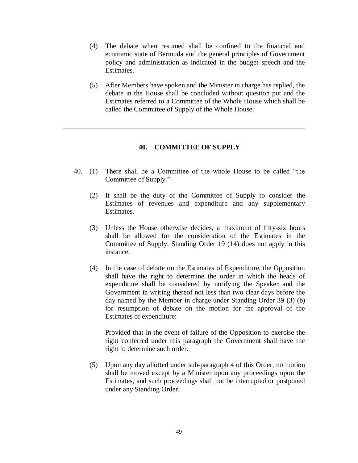- (4) The debate when resumed shall be confined to the financial and economic state of Bermuda and the general principles of Government policy and administration as indicated in the budget speech and the Estimates.
- (5) After Members have spoken and the Minister in charge has replied, the debate in the House shall be concluded without question put and the Estimates referred to a Committee of the Whole House which shall be called the Committee of Supply of the Whole House.

# **40. COMMITTEE OF SUPPLY**

\_\_\_\_\_\_\_\_\_\_\_\_\_\_\_\_\_\_\_\_\_\_\_\_\_\_\_\_\_\_\_\_\_\_\_\_\_\_\_\_\_\_\_\_\_\_\_\_\_\_\_\_\_\_\_\_\_\_\_\_\_\_\_\_\_\_\_\_\_

- 40. (1) There shall be a Committee of the whole House to be called "the Committee of Supply."
	- (2) It shall be the duty of the Committee of Supply to consider the Estimates of revenues and expenditure and any supplementary Estimates.
	- (3) Unless the House otherwise decides, a maximum of fifty-six hours shall be allowed for the consideration of the Estimates in the Committee of Supply. Standing Order 19 (14) does not apply in this instance.
	- (4) In the case of debate on the Estimates of Expenditure, the Opposition shall have the right to determine the order in which the heads of expenditure shall be considered by notifying the Speaker and the Government in writing thereof not less than two clear days before the day named by the Member in charge under Standing Order 39 (3) (b) for resumption of debate on the motion for the approval of the Estimates of expenditure:

Provided that in the event of failure of the Opposition to exercise the right conferred under this paragraph the Government shall have the right to determine such order.

(5) Upon any day allotted under sub-paragraph 4 of this Order, no motion shall be moved except by a Minister upon any proceedings upon the Estimates, and such proceedings shall not be interrupted or postponed under any Standing Order.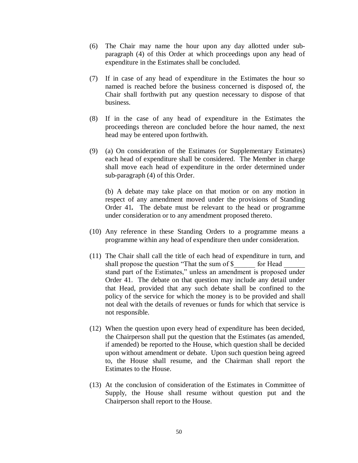- (6) The Chair may name the hour upon any day allotted under subparagraph (4) of this Order at which proceedings upon any head of expenditure in the Estimates shall be concluded.
- (7) If in case of any head of expenditure in the Estimates the hour so named is reached before the business concerned is disposed of, the Chair shall forthwith put any question necessary to dispose of that business.
- (8) If in the case of any head of expenditure in the Estimates the proceedings thereon are concluded before the hour named, the next head may be entered upon forthwith.
- (9) (a) On consideration of the Estimates (or Supplementary Estimates) each head of expenditure shall be considered. The Member in charge shall move each head of expenditure in the order determined under sub-paragraph (4) of this Order.

(b) A debate may take place on that motion or on any motion in respect of any amendment moved under the provisions of Standing Order 41*.* The debate must be relevant to the head or programme under consideration or to any amendment proposed thereto.

- (10) Any reference in these Standing Orders to a programme means a programme within any head of expenditure then under consideration.
- (11) The Chair shall call the title of each head of expenditure in turn, and shall propose the question "That the sum of \$  $\qquad$  for Head stand part of the Estimates," unless an amendment is proposed under Order 41. The debate on that question may include any detail under that Head, provided that any such debate shall be confined to the policy of the service for which the money is to be provided and shall not deal with the details of revenues or funds for which that service is not responsible.
- (12) When the question upon every head of expenditure has been decided, the Chairperson shall put the question that the Estimates (as amended, if amended) be reported to the House, which question shall be decided upon without amendment or debate. Upon such question being agreed to, the House shall resume, and the Chairman shall report the Estimates to the House.
- (13) At the conclusion of consideration of the Estimates in Committee of Supply, the House shall resume without question put and the Chairperson shall report to the House.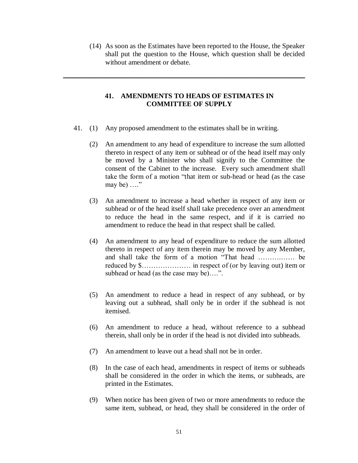(14) As soon as the Estimates have been reported to the House, the Speaker shall put the question to the House, which question shall be decided without amendment or debate.

# **41. AMENDMENTS TO HEADS OF ESTIMATES IN COMMITTEE OF SUPPLY**

**\_\_\_\_\_\_\_\_\_\_\_\_\_\_\_\_\_\_\_\_\_\_\_\_\_\_\_\_\_\_\_\_\_\_\_\_\_\_\_\_\_\_\_\_\_\_**

- 41. (1) Any proposed amendment to the estimates shall be in writing.
	- (2) An amendment to any head of expenditure to increase the sum allotted thereto in respect of any item or subhead or of the head itself may only be moved by a Minister who shall signify to the Committee the consent of the Cabinet to the increase. Every such amendment shall take the form of a motion "that item or sub-head or head (as the case may be) ...."
	- (3) An amendment to increase a head whether in respect of any item or subhead or of the head itself shall take precedence over an amendment to reduce the head in the same respect, and if it is carried no amendment to reduce the head in that respect shall be called.
	- (4) An amendment to any head of expenditure to reduce the sum allotted thereto in respect of any item therein may be moved by any Member, and shall take the form of a motion "That head ……….…… be reduced by \$………………… in respect of (or by leaving out) item or subhead or head (as the case may be)....".
	- (5) An amendment to reduce a head in respect of any subhead, or by leaving out a subhead, shall only be in order if the subhead is not itemised.
	- (6) An amendment to reduce a head, without reference to a subhead therein, shall only be in order if the head is not divided into subheads.
	- (7) An amendment to leave out a head shall not be in order.
	- (8) In the case of each head, amendments in respect of items or subheads shall be considered in the order in which the items, or subheads, are printed in the Estimates.
	- (9) When notice has been given of two or more amendments to reduce the same item, subhead, or head, they shall be considered in the order of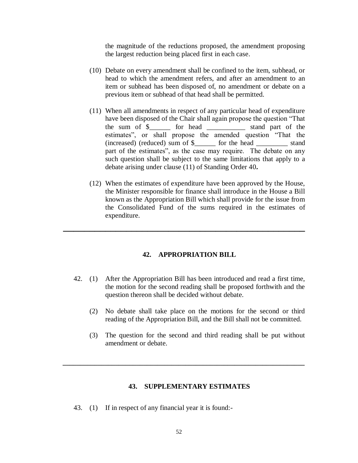the magnitude of the reductions proposed, the amendment proposing the largest reduction being placed first in each case.

- (10) Debate on every amendment shall be confined to the item, subhead, or head to which the amendment refers, and after an amendment to an item or subhead has been disposed of, no amendment or debate on a previous item or subhead of that head shall be permitted.
- (11) When all amendments in respect of any particular head of expenditure have been disposed of the Chair shall again propose the question "That the sum of \$\_\_\_\_\_\_ for head \_\_\_\_\_\_\_\_\_\_\_ stand part of the estimates", or shall propose the amended question "That the (increased) (reduced) sum of \$ \_\_\_\_\_ for the head stand part of the estimates", as the case may require. The debate on any such question shall be subject to the same limitations that apply to a debate arising under clause (11) of Standing Order 40**.**
- (12) When the estimates of expenditure have been approved by the House, the Minister responsible for finance shall introduce in the House a Bill known as the Appropriation Bill which shall provide for the issue from the Consolidated Fund of the sums required in the estimates of expenditure.

#### **42. APPROPRIATION BILL**

**\_\_\_\_\_\_\_\_\_\_\_\_\_\_\_\_\_\_\_\_\_\_\_\_\_\_\_\_\_\_\_\_\_\_\_\_\_\_\_\_\_\_\_\_\_\_**

- 42. (1) After the Appropriation Bill has been introduced and read a first time, the motion for the second reading shall be proposed forthwith and the question thereon shall be decided without debate.
	- (2) No debate shall take place on the motions for the second or third reading of the Appropriation Bill, and the Bill shall not be committed.
	- (3) The question for the second and third reading shall be put without amendment or debate.

#### **43. SUPPLEMENTARY ESTIMATES**

*\_\_\_\_\_\_\_\_\_\_\_\_\_\_\_\_\_\_\_\_\_\_\_\_\_\_\_\_\_\_\_\_\_\_\_\_\_\_\_\_\_\_\_\_\_\_\_\_\_\_\_\_\_\_\_\_\_\_\_\_\_\_\_\_\_\_\_\_\_*

43. (1) If in respect of any financial year it is found:-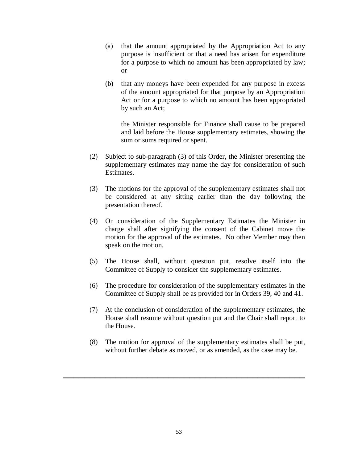- (a) that the amount appropriated by the Appropriation Act to any purpose is insufficient or that a need has arisen for expenditure for a purpose to which no amount has been appropriated by law; or
- (b) that any moneys have been expended for any purpose in excess of the amount appropriated for that purpose by an Appropriation Act or for a purpose to which no amount has been appropriated by such an Act;

the Minister responsible for Finance shall cause to be prepared and laid before the House supplementary estimates, showing the sum or sums required or spent.

- (2) Subject to sub-paragraph (3) of this Order, the Minister presenting the supplementary estimates may name the day for consideration of such Estimates.
- (3) The motions for the approval of the supplementary estimates shall not be considered at any sitting earlier than the day following the presentation thereof.
- (4) On consideration of the Supplementary Estimates the Minister in charge shall after signifying the consent of the Cabinet move the motion for the approval of the estimates. No other Member may then speak on the motion.
- (5) The House shall, without question put, resolve itself into the Committee of Supply to consider the supplementary estimates.
- (6) The procedure for consideration of the supplementary estimates in the Committee of Supply shall be as provided for in Orders 39, 40 and 41.
- (7) At the conclusion of consideration of the supplementary estimates, the House shall resume without question put and the Chair shall report to the House.
- (8) The motion for approval of the supplementary estimates shall be put, without further debate as moved, or as amended, as the case may be.

**\_\_\_\_\_\_\_\_\_\_\_\_\_\_\_\_\_\_\_\_\_\_\_\_\_\_\_\_\_\_\_\_\_\_\_\_\_\_\_\_\_\_\_\_\_\_**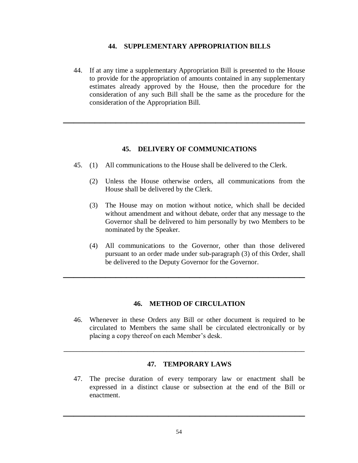# **44. SUPPLEMENTARY APPROPRIATION BILLS**

44. If at any time a supplementary Appropriation Bill is presented to the House to provide for the appropriation of amounts contained in any supplementary estimates already approved by the House, then the procedure for the consideration of any such Bill shall be the same as the procedure for the consideration of the Appropriation Bill.

**\_\_\_\_\_\_\_\_\_\_\_\_\_\_\_\_\_\_\_\_\_\_\_\_\_\_\_\_\_\_\_\_\_\_\_\_\_\_\_\_\_\_\_\_\_\_**

# **45. DELIVERY OF COMMUNICATIONS**

- 45. (1) All communications to the House shall be delivered to the Clerk.
	- (2) Unless the House otherwise orders, all communications from the House shall be delivered by the Clerk.
	- (3) The House may on motion without notice, which shall be decided without amendment and without debate, order that any message to the Governor shall be delivered to him personally by two Members to be nominated by the Speaker.
	- (4) All communications to the Governor, other than those delivered pursuant to an order made under sub-paragraph (3) of this Order, shall be delivered to the Deputy Governor for the Governor.

# **46. METHOD OF CIRCULATION**

**\_\_\_\_\_\_\_\_\_\_\_\_\_\_\_\_\_\_\_\_\_\_\_\_\_\_\_\_\_\_\_\_\_\_\_\_\_\_\_\_\_\_\_\_\_\_**

46. Whenever in these Orders any Bill or other document is required to be circulated to Members the same shall be circulated electronically or by placing a copy thereof on each Member's desk.

#### **47. TEMPORARY LAWS**

47. The precise duration of every temporary law or enactment shall be expressed in a distinct clause or subsection at the end of the Bill or enactment.

**\_\_\_\_\_\_\_\_\_\_\_\_\_\_\_\_\_\_\_\_\_\_\_\_\_\_\_\_\_\_\_\_\_\_\_\_\_\_\_\_\_\_\_\_\_\_**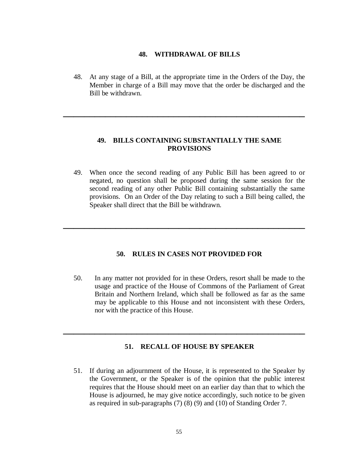#### **48. WITHDRAWAL OF BILLS**

48. At any stage of a Bill, at the appropriate time in the Orders of the Day, the Member in charge of a Bill may move that the order be discharged and the Bill be withdrawn.

**\_\_\_\_\_\_\_\_\_\_\_\_\_\_\_\_\_\_\_\_\_\_\_\_\_\_\_\_\_\_\_\_\_\_\_\_\_\_\_\_\_\_\_\_\_\_**

# **49. BILLS CONTAINING SUBSTANTIALLY THE SAME PROVISIONS**

49. When once the second reading of any Public Bill has been agreed to or negated, no question shall be proposed during the same session for the second reading of any other Public Bill containing substantially the same provisions. On an Order of the Day relating to such a Bill being called, the Speaker shall direct that the Bill be withdrawn.

#### **50. RULES IN CASES NOT PROVIDED FOR**

**\_\_\_\_\_\_\_\_\_\_\_\_\_\_\_\_\_\_\_\_\_\_\_\_\_\_\_\_\_\_\_\_\_\_\_\_\_\_\_\_\_\_\_\_\_\_**

50. In any matter not provided for in these Orders, resort shall be made to the usage and practice of the House of Commons of the Parliament of Great Britain and Northern Ireland, which shall be followed as far as the same may be applicable to this House and not inconsistent with these Orders, nor with the practice of this House.

# **51. RECALL OF HOUSE BY SPEAKER**

**\_\_\_\_\_\_\_\_\_\_\_\_\_\_\_\_\_\_\_\_\_\_\_\_\_\_\_\_\_\_\_\_\_\_\_\_\_\_\_\_\_\_\_\_\_\_**

51. If during an adjournment of the House, it is represented to the Speaker by the Government, or the Speaker is of the opinion that the public interest requires that the House should meet on an earlier day than that to which the House is adjourned, he may give notice accordingly, such notice to be given as required in sub-paragraphs (7) (8) (9) and (10) of Standing Order 7.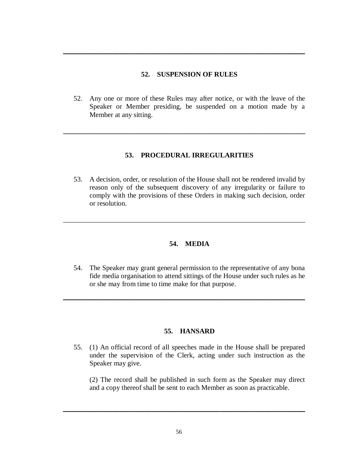# **52. SUSPENSION OF RULES**

**\_\_\_\_\_\_\_\_\_\_\_\_\_\_\_\_\_\_\_\_\_\_\_\_\_\_\_\_\_\_\_\_\_\_\_\_\_\_\_\_\_\_\_\_\_\_**

52. Any one or more of these Rules may after notice, or with the leave of the Speaker or Member presiding, be suspended on a motion made by a Member at any sitting.

**\_\_\_\_\_\_\_\_\_\_\_\_\_\_\_\_\_\_\_\_\_\_\_\_\_\_\_\_\_\_\_\_\_\_\_\_\_\_\_\_\_\_\_\_\_\_\_\_\_\_\_\_\_\_\_\_\_\_\_\_\_\_\_\_\_\_\_\_\_**

# **53. PROCEDURAL IRREGULARITIES**

53. A decision, order, or resolution of the House shall not be rendered invalid by reason only of the subsequent discovery of any irregularity or failure to comply with the provisions of these Orders in making such decision, order or resolution.

#### **54. MEDIA**

\_\_\_\_\_\_\_\_\_\_\_\_\_\_\_\_\_\_\_\_\_\_\_\_\_\_\_\_\_\_\_\_\_\_\_\_\_\_\_\_\_\_\_\_\_\_\_\_\_\_\_\_\_\_\_\_\_\_\_\_\_\_\_\_\_\_\_\_\_

54. The Speaker may grant general permission to the representative of any bona fide media organisation to attend sittings of the House under such rules as he or she may from time to time make for that purpose.

**\_\_\_\_\_\_\_\_\_\_\_\_\_\_\_\_\_\_\_\_\_\_\_\_\_\_\_\_\_\_\_\_\_\_\_\_\_\_\_\_\_\_\_\_\_\_**

# **55. HANSARD**

55. (1) An official record of all speeches made in the House shall be prepared under the supervision of the Clerk, acting under such instruction as the Speaker may give.

(2) The record shall be published in such form as the Speaker may direct and a copy thereof shall be sent to each Member as soon as practicable.

**\_\_\_\_\_\_\_\_\_\_\_\_\_\_\_\_\_\_\_\_\_\_\_\_\_\_\_\_\_\_\_\_\_\_\_\_\_\_\_\_\_\_\_\_\_\_**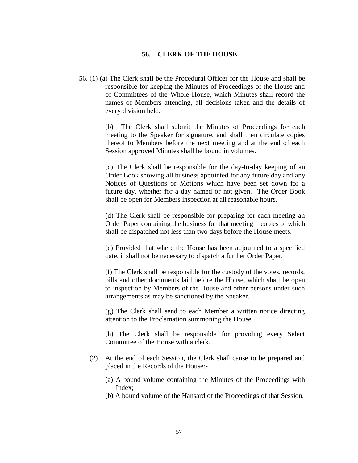# **56. CLERK OF THE HOUSE**

56. (1) (a) The Clerk shall be the Procedural Officer for the House and shall be responsible for keeping the Minutes of Proceedings of the House and of Committees of the Whole House, which Minutes shall record the names of Members attending, all decisions taken and the details of every division held.

> (b) The Clerk shall submit the Minutes of Proceedings for each meeting to the Speaker for signature, and shall then circulate copies thereof to Members before the next meeting and at the end of each Session approved Minutes shall be bound in volumes.

> (c) The Clerk shall be responsible for the day-to-day keeping of an Order Book showing all business appointed for any future day and any Notices of Questions or Motions which have been set down for a future day, whether for a day named or not given. The Order Book shall be open for Members inspection at all reasonable hours.

> (d) The Clerk shall be responsible for preparing for each meeting an Order Paper containing the business for that meeting – copies of which shall be dispatched not less than two days before the House meets.

> (e) Provided that where the House has been adjourned to a specified date, it shall not be necessary to dispatch a further Order Paper.

> (f) The Clerk shall be responsible for the custody of the votes, records, bills and other documents laid before the House, which shall be open to inspection by Members of the House and other persons under such arrangements as may be sanctioned by the Speaker.

> (g) The Clerk shall send to each Member a written notice directing attention to the Proclamation summoning the House.

> (h) The Clerk shall be responsible for providing every Select Committee of the House with a clerk.

- (2) At the end of each Session, the Clerk shall cause to be prepared and placed in the Records of the House:-
	- (a) A bound volume containing the Minutes of the Proceedings with Index;
	- (b) A bound volume of the Hansard of the Proceedings of that Session.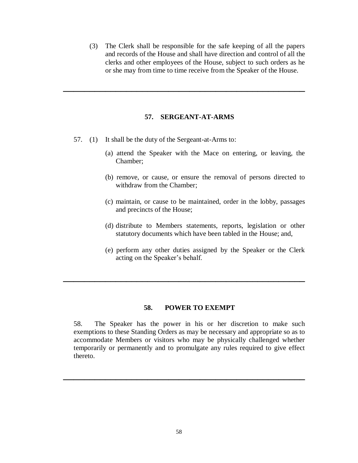(3) The Clerk shall be responsible for the safe keeping of all the papers and records of the House and shall have direction and control of all the clerks and other employees of the House, subject to such orders as he or she may from time to time receive from the Speaker of the House.

#### **57. SERGEANT-AT-ARMS**

**\_\_\_\_\_\_\_\_\_\_\_\_\_\_\_\_\_\_\_\_\_\_\_\_\_\_\_\_\_\_\_\_\_\_\_\_\_\_\_\_\_\_\_\_\_\_**

- 57. (1) It shall be the duty of the Sergeant-at-Arms to:
	- (a) attend the Speaker with the Mace on entering, or leaving, the Chamber;
	- (b) remove, or cause, or ensure the removal of persons directed to withdraw from the Chamber;
	- (c) maintain, or cause to be maintained, order in the lobby, passages and precincts of the House;
	- (d) distribute to Members statements, reports, legislation or other statutory documents which have been tabled in the House; and,
	- (e) perform any other duties assigned by the Speaker or the Clerk acting on the Speaker's behalf.

#### **58. POWER TO EXEMPT**

**\_\_\_\_\_\_\_\_\_\_\_\_\_\_\_\_\_\_\_\_\_\_\_\_\_\_\_\_\_\_\_\_\_\_\_\_\_\_\_\_\_\_\_\_\_\_**

58. The Speaker has the power in his or her discretion to make such exemptions to these Standing Orders as may be necessary and appropriate so as to accommodate Members or visitors who may be physically challenged whether temporarily or permanently and to promulgate any rules required to give effect thereto.

**\_\_\_\_\_\_\_\_\_\_\_\_\_\_\_\_\_\_\_\_\_\_\_\_\_\_\_\_\_\_\_\_\_\_\_\_\_\_\_\_\_\_\_\_\_\_**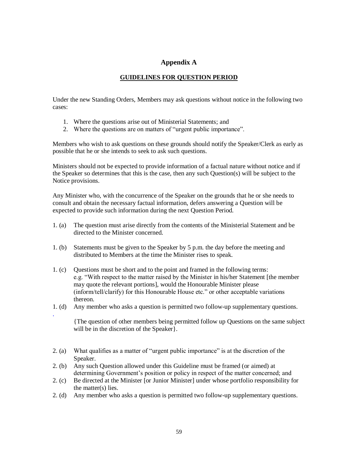# **Appendix A**

# **GUIDELINES FOR QUESTION PERIOD**

Under the new Standing Orders, Members may ask questions without notice in the following two cases:

- 1. Where the questions arise out of Ministerial Statements; and
- 2. Where the questions are on matters of "urgent public importance".

Members who wish to ask questions on these grounds should notify the Speaker/Clerk as early as possible that he or she intends to seek to ask such questions.

Ministers should not be expected to provide information of a factual nature without notice and if the Speaker so determines that this is the case, then any such Question(s) will be subject to the Notice provisions.

Any Minister who, with the concurrence of the Speaker on the grounds that he or she needs to consult and obtain the necessary factual information, defers answering a Question will be expected to provide such information during the next Question Period.

- 1. (a) The question must arise directly from the contents of the Ministerial Statement and be directed to the Minister concerned.
- 1. (b) Statements must be given to the Speaker by 5 p.m. the day before the meeting and distributed to Members at the time the Minister rises to speak.
- 1. (c) Questions must be short and to the point and framed in the following terms: e.g. "With respect to the matter raised by the Minister in his/her Statement [the member may quote the relevant portions], would the Honourable Minister please (inform/tell/clarify) for this Honourable House etc." or other acceptable variations thereon.
- 1. (d) Any member who asks a question is permitted two follow-up supplementary questions.

.

{The question of other members being permitted follow up Questions on the same subject will be in the discretion of the Speaker }.

- 2. (a) What qualifies as a matter of "urgent public importance" is at the discretion of the Speaker.
- 2. (b) Any such Question allowed under this Guideline must be framed (or aimed) at determining Government's position or policy in respect of the matter concerned; and
- 2. (c) Be directed at the Minister [or Junior Minister] under whose portfolio responsibility for the matter(s) lies.
- 2. (d) Any member who asks a question is permitted two follow-up supplementary questions.